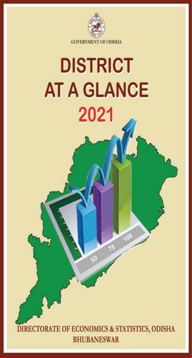

# **DISTRICT AT A GLANCE** 2021

DIRECTORATE OF ECONOMICS & STATISTICS, ODISHA **BHUBANESWAR**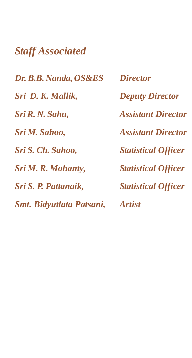#### *Staff Associated*

*Dr. B.B. Nanda, OS&ES Director Sri D. K. Mallik, Deputy Director Sri R. N. Sahu, Assistant Director Sri M. Sahoo, Assistant Director Sri S. Ch. Sahoo, Statistical Officer Sri M. R. Mohanty, Statistical Officer Sri S. P. Pattanaik, Statistical Officer Smt. Bidyutlata Patsani, Artist*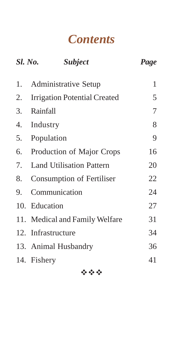#### *Contents*

|    | <b>Sl. No.</b><br>Subject       | Page |
|----|---------------------------------|------|
| 1. | Administrative Setup            | 1    |
| 2. | Irrigation Potential Created    | 5    |
| 3. | Rainfall                        | 7    |
| 4. | Industry                        | 8    |
| 5. | Population                      | 9    |
| 6. | Production of Major Crops       | 16   |
| 7. | <b>Land Utilisation Pattern</b> | 20   |
| 8. | Consumption of Fertiliser       | 22   |
| 9. | Communication                   | 24   |
|    | 10. Education                   | 27   |
|    | 11. Medical and Family Welfare  | 31   |
|    | 12. Infrastructure              | 34   |
|    | 13. Animal Husbandry            | 36   |
|    | 14. Fishery                     | 41   |
|    |                                 |      |

安全局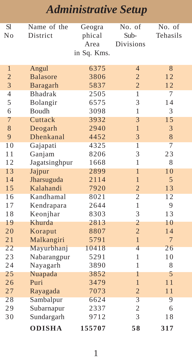| <b>S</b> l     | Name of the     | Geogra      | No. of           | No. of         |
|----------------|-----------------|-------------|------------------|----------------|
| No             | District        | phical      | Sub-             | Tehasils       |
|                |                 | Area        | <b>Divisions</b> |                |
|                |                 | in Sq. Kms. |                  |                |
|                |                 |             |                  |                |
| $\mathbf{1}$   | Angul           | 6375        | $\overline{4}$   | 8              |
| $\overline{2}$ | <b>Balasore</b> | 3806        | $\overline{2}$   | 12             |
| 3              | Baragarh        | 5837        | $\overline{2}$   | 12             |
| 4              | <b>Bhadrak</b>  | 2505        | $\mathbf{1}$     | 7              |
| 5              | Bolangir        | 6575        | 3                | 14             |
| 6              | Boudh           | 3098        | 1                | 3              |
| 7              | Cuttack         | 3932        | 3                | 15             |
| 8              | Deogarh         | 2940        | $\mathbf{1}$     | 3              |
| 9              | Dhenkanal       | 4452        | 3                | 8              |
| 10             | Gajapati        | 4325        | $\overline{1}$   | $\overline{7}$ |
| 11             | Ganjam          | 8206        | 3                | 23             |
| 12             | Jagatsinghpur   | 1668        | $\mathbf{1}$     | 8              |
| 13             | Jajpur          | 2899        | 1                | 10             |
| 14             | Jharsuguda      | 2114        | $\mathbf{1}$     | 5              |
| 15             | Kalahandi       | 7920        | $\overline{2}$   | 13             |
| 16             | Kandhamal       | 8021        | $\overline{2}$   | 12             |
| 17             | Kendrapara      | 2644        | 1                | 9              |
| 18             | Keonjhar        | 8303        | 3                | 13             |
| 19             | Khurda          | 2813        | $\overline{2}$   | 10             |
| 20             | Koraput         | 8807        | $\overline{c}$   | 14             |
| 21             | Malkangiri      | 5791        | $\mathbf{1}$     | $\overline{7}$ |
| 22             | Mayurbhanj      | 10418       | $\overline{4}$   | 26             |
| 23             | Nabarangpur     | 5291        | $\mathbf{1}$     | 10             |
| 24             | Nayagarh        | 3890        | 1                | 8              |
| 25             | Nuapada         | 3852        | 1                | 5              |
| 26             | Puri            | 3479        | $\mathbf{1}$     | 11             |
| 27             | Rayagada        | 7073        | $\overline{2}$   | 11             |
| 28             | Sambalpur       | 6624        | 3                | 9              |
| 29             | Subarnapur      | 2337        | $\overline{c}$   | 6              |
| 30             | Sundargarh      | 9712        | 3                | 18             |
|                | <b>ODISHA</b>   | 155707      | 58               | 317            |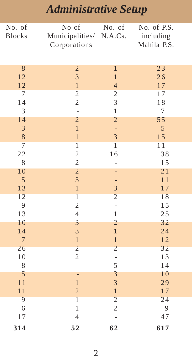| No. of                        | No of                                     | No. of                           | No. of P.S.  |
|-------------------------------|-------------------------------------------|----------------------------------|--------------|
| <b>Blocks</b>                 | Municipalities/                           | N.A.Cs.                          | including    |
|                               | Corporations                              |                                  | Mahila P.S.  |
|                               |                                           |                                  |              |
|                               |                                           |                                  |              |
| 8                             | $\overline{c}$                            | $\mathbf{1}$                     | 23           |
| 12                            | 3                                         | $\mathbf{1}$                     | 26           |
| 12                            | $\mathbf{1}$                              | $\overline{4}$                   | 17           |
| $\tau$                        | $\overline{\mathbf{c}}$                   | $\overline{c}$                   | 17           |
| 14                            | $\overline{c}$                            | 3                                | 18           |
| 3                             | $\overline{a}$                            | $\,1$                            | $\tau$       |
| 14                            | $\overline{c}$                            | $\overline{c}$                   | 55           |
| $\mathfrak{Z}$                | $\overline{1}$                            | ÷                                | 5            |
| $\,$ 8 $\,$<br>$\overline{7}$ | $\mathbf{1}$                              | $\overline{3}$<br>$\overline{1}$ | 15           |
|                               | $\overline{1}$                            |                                  | 11           |
| 22                            | $\overline{\mathbf{c}}$                   | 16                               | 38           |
| 8                             | $\overline{c}$<br>$\overline{c}$          |                                  | 15           |
| 10                            |                                           |                                  | 21           |
| 5                             | $\overline{3}$                            |                                  | 11           |
| 13<br>12                      | $\mathbf{1}$                              | 3<br>$\overline{c}$              | 17           |
|                               | $\overline{1}$                            |                                  | 18           |
| 9                             | $\overline{\mathbf{c}}$<br>$\overline{4}$ | -<br>$\mathbf{1}$                | 15           |
| 13<br>10                      | $\overline{\mathbf{3}}$                   |                                  | 25           |
|                               | $\overline{\mathbf{3}}$                   | $\overline{c}$<br>$\mathbf{1}$   | 32<br>24     |
| 14<br>$\overline{7}$          |                                           |                                  |              |
| 26                            | $\,1$<br>$\overline{c}$                   | $\,1$<br>$\overline{c}$          | 12<br>32     |
|                               | $\overline{c}$                            |                                  |              |
| 10<br>8                       | $\overline{a}$                            | 5                                | 13<br>14     |
|                               |                                           |                                  |              |
| 5                             | ÷<br>$\overline{1}$                       | $\mathfrak{Z}$                   | 10           |
| 11<br>11                      |                                           | $\overline{\mathbf{3}}$          | 29           |
| 9                             | $\overline{c}$<br>$\overline{1}$          | $\,1\,$<br>$\overline{c}$        | $1\,7$<br>24 |
| 6                             | $\mathbf{1}$                              | $\overline{c}$                   | 9            |
| 17                            | $\overline{4}$                            |                                  | 47           |
|                               |                                           |                                  |              |
| 314                           | 52                                        | 62                               | 617          |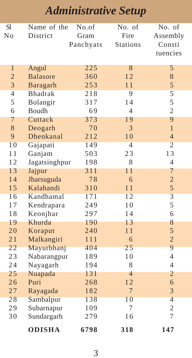| <b>S</b> l     | Name of the     | No.of     | No. of          | No. of         |
|----------------|-----------------|-----------|-----------------|----------------|
| No             | District        | Gram      | Fire            | Assembly       |
|                |                 | Panchyats | <b>Stations</b> | Consti         |
|                |                 |           |                 | tuencies       |
|                |                 |           |                 |                |
| $\mathbf{1}$   | Angul           | 225       | 8               | 5              |
| $\overline{2}$ | <b>Balasore</b> | 360       | 12              | 8              |
| 3              | Baragarh        | 253       | 11              | 5              |
| $\overline{4}$ | <b>Bhadrak</b>  | 218       | $\overline{9}$  | 5              |
| 5              | Bolangir        | 317       | 14              | 5              |
| 6              | Boudh           | 69        | $\overline{4}$  | $\overline{c}$ |
| 7              | Cuttack         | 373       | 19              | 9              |
| 8              | Deogarh         | 70        | 3               | $\mathbf{1}$   |
| 9              | Dhenkanal       | 212       | 10              | $\overline{4}$ |
| 10             | Gajapati        | 149       | $\overline{4}$  | $\overline{2}$ |
| 11             | Ganjam          | 503       | 23              | 13             |
| 12             | Jagatsinghpur   | 198       | 8               | $\overline{4}$ |
| 13             | Jajpur          | 311       | 11              | 7              |
| 14             | Jharsuguda      | 78        | 6               | $\overline{c}$ |
| 15             | Kalahandi       | 310       | 11              | 5              |
| 16             | Kandhamal       | 171       | 12              | $\overline{3}$ |
| 17             | Kendrapara      | 249       | 10              | 5              |
| 18             | Keonjhar        | 297       | 14              | 6              |
| 19             | Khurda          | 190       | 13              | 8              |
| 20             | Koraput         | 240       | 11              | 5              |
| 21             | Malkangiri      | 111       | 6               | $\overline{c}$ |
| 22             | Mayurbhanj      | 404       | 25              | $\overline{9}$ |
| 23             | Nabarangpur     | 189       | 10              | $\overline{4}$ |
| 24             | Nayagarh        | 194       | 8               | $\overline{4}$ |
| 25             | Nuapada         | 131       | 4               | 2              |
| 26             | Puri            | 268       | 12              | 6              |
| 27             | Rayagada        | 182       | $\overline{7}$  | 3              |
| 28             | Sambalpur       | 138       | 10              | $\overline{4}$ |
| 29             | Subarnapur      | 109       | 7               | $\overline{c}$ |
| 30             | Sundargarh      | 279       | 16              | 7              |
|                | <b>ODISHA</b>   | 6798      | 318             | 147            |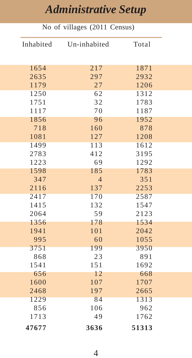|              | No of villages (2011 Census) |              |
|--------------|------------------------------|--------------|
| Inhabited    | Un-inhabited                 | Total        |
|              |                              |              |
| 1654         | 217                          | 1871         |
| 2635         | 297                          | 2932         |
| 1179         | 27                           | 1206         |
| 1250         | 62                           | 1312         |
| 1751         | 32                           | 1783         |
| 1117         | 70                           | 1187         |
| 1856         | 96                           | 1952         |
| 718          | 160                          | 878          |
| 1081         | 127                          | 1208         |
| 1499         | 113                          | 1612         |
| 2783         | 412                          | 3195         |
| 1223         | 69                           | 1292         |
| 1598         | 185                          | 1783         |
| 347          | $\overline{4}$               | 351          |
| 2116         | 137                          | 2253         |
| 2417         | 170                          | 2587         |
| 1415<br>2064 | 132<br>59                    | 1547<br>2123 |
| 1356         | 178                          | 1534         |
| 1941         | 101                          | 2042         |
| 995          | 60                           | 1055         |
| 3751         | 199                          | 3950         |
| 868          | 23                           | 891          |
| 1541         | 151                          | 1692         |
| 656          | 12                           | 668          |
| 1600         | 107                          | 1707         |
| 2468         | 197                          | 2665         |
| 1229         | 84                           | 1313         |
| 856          | 106                          | 962          |
| 1713         | 49                           | 1762         |
| 47677        | 3636                         | 51313        |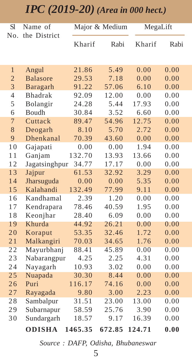#### *IPC (2019-20) (Area in 000 hect.)*

| S1             | Name of         |         | Major & Medium | MegaLift |      |
|----------------|-----------------|---------|----------------|----------|------|
| No.            | the District    | Kharif  | Rabi           | Kharif   | Rabi |
| $\mathbf{1}$   | Angul           | 21.86   | 5.49           | 0.00     | 0.00 |
| $\overline{2}$ | <b>Balasore</b> | 29.53   | 7.18           | 0.00     | 0.00 |
| 3              | Baragarh        | 91.22   | 57.06          | 6.10     | 0.00 |
| $\overline{4}$ | <b>Bhadrak</b>  | 92.09   | 12.00          | 0.00     | 0.00 |
| 5              | Bolangir        | 24.28   | 5.44           | 17.93    | 0.00 |
| 6              | Boudh           | 30.84   | 3.52           | 6.60     | 0.00 |
| $\overline{7}$ | Cuttack         | 89.47   | 54.96          | 12.75    | 0.00 |
| 8              | Deogarh         | 8.10    | 5.70           | 2.72     | 0.00 |
| 9              | Dhenkanal       | 70.39   | 43.60          | 0.00     | 0.00 |
| 10             | Gajapati        | 0.00    | 0.00           | 1.94     | 0.00 |
| 11             | Ganjam          | 132.70  | 13.93          | 13.66    | 0.00 |
| 12             | Jagatsinghpur   | 34.77   | 17.17          | 0.00     | 0.00 |
| 13             | Jajpur          | 61.53   | 32.92          | 3.29     | 0.00 |
| 14             | Jharsuguda      | 0.00    | 0.00           | 5.35     | 0.00 |
| 15             | Kalahandi       | 132.49  | 77.99          | 9.11     | 0.00 |
| 16             | Kandhamal       | 2.39    | 1.20           | 0.00     | 0.00 |
| 17             | Kendrapara      | 78.46   | 40.59          | 1.95     | 0.00 |
| 18             | Keonjhar        | 28.40   | 6.09           | 0.00     | 0.00 |
| 19             | Khurda          | 44.92   | 26.21          | 0.00     | 0.00 |
| 20             | Koraput         | 53.35   | 32.46          | 1.72     | 0.00 |
| 21             | Malkangiri      | 70.03   | 34.65          | 1.76     | 0.00 |
| 22             | Mayurbhanj      | 88.41   | 45.89          | 0.00     | 0.00 |
| 23             | Nabarangpur     | 4.25    | 2.25           | 4.31     | 0.00 |
| 24             | Nayagarh        | 10.93   | 3.02           | 0.00     | 0.00 |
| 25             | Nuapada         | 30.30   | 8.44           | 0.00     | 0.00 |
| 26             | Puri            | 116.17  | 74.16          | 0.00     | 0.00 |
| 27             | Rayagada        | 9.80    | 3.00           | 2.23     | 0.00 |
| 28             | Sambalpur       | 31.51   | 23.00          | 13.00    | 0.00 |
| 29             | Subarnapur      | 58.59   | 25.76          | 3.90     | 0.00 |
| 30             | Sundargarh      | 18.57   | 9.17           | 16.39    | 0.00 |
|                | <b>ODISHA</b>   | 1465.35 | 672.85         | 124.71   | 0.00 |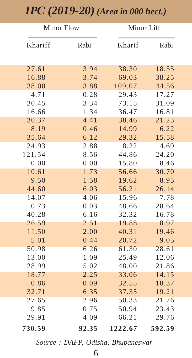#### *IPC (2019-20) (Area in 000 hect.)*

| <b>Minor Flow</b> |       | Minor Lift |        |
|-------------------|-------|------------|--------|
| Khariff           | Rabi  | Kharif     | Rabi   |
| 27.61             | 3.94  | 38.30      | 18.55  |
| 16.88             | 3.74  | 69.03      | 38.25  |
| 38.00             | 3.88  | 109.07     | 44.56  |
| 4.71              | 0.28  | 29.43      | 17.27  |
| 30.45             | 3.34  | 73.15      | 31.09  |
| 16.66             | 1.34  | 36.47      | 16.81  |
| 30.37             | 4.41  | 38.46      | 21.23  |
| 8.19              | 0.46  | 14.99      | 6.22   |
| 35.64             | 6.12  | 29.32      | 15.58  |
| 24.93             | 2.88  | 8.22       | 4.69   |
| 121.54            | 8.56  | 44.86      | 24.20  |
| 0.00              | 0.00  | 15.80      | 8.46   |
| 10.61             | 1.73  | 56.66      | 30.70  |
| 9.50              | 1.58  | 19.62      | 8.95   |
| 44.60             | 6.03  | 56.21      | 26.14  |
| 14.07             | 4.06  | 15.96      | 7.78   |
| 0.73              | 0.03  | 48.66      | 28.64  |
| 40.28             | 6.16  | 32.32      | 16.78  |
| 26.59             | 2.51  | 19.88      | 8.97   |
| 11.50             | 2.00  | 40.31      | 19.46  |
| 5.01              | 0.44  | 20.72      | 9.05   |
| 50.98             | 6.26  | 61.30      | 28.61  |
| 13.00             | 1.09  | 25.49      | 12.06  |
| 28.99             | 5.02  | 48.00      | 21.86  |
| 18.77             | 2.25  | 33.06      | 14.15  |
| 0.86              | 0.09  | 32.55      | 18.37  |
| 32.71             | 6.35  | 37.35      | 19.21  |
| 27.65             | 2.96  | 50.33      | 21.76  |
| 9.85              | 0.75  | 50.94      | 23.43  |
| 29.91             | 4.09  | 66.21      | 29.76  |
| 730.59            | 92.35 | 1222.67    | 592.59 |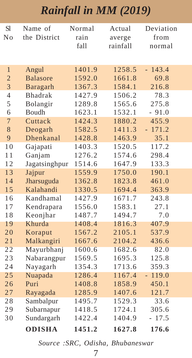#### *Rainfall in MM (2019)*

| <b>S1</b>      | Name of         | Normal | Actual   | Deviation   |
|----------------|-----------------|--------|----------|-------------|
| No             | the District    | rain   | averge   | from        |
|                |                 | fall   | rainfall | normal      |
|                |                 |        |          |             |
| $\mathbf{1}$   | Angul           | 1401.9 | 1258.5   | 143.4<br>L. |
| $\overline{2}$ | <b>Balasore</b> | 1592.0 | 1661.8   | 69.8        |
| 3              | Baragarh        | 1367.3 | 1584.1   | 216.8       |
| $\overline{4}$ | <b>Bhadrak</b>  | 1427.9 | 1506.2   | 78.3        |
| 5              | Bolangir        | 1289.8 | 1565.6   | 275.8       |
| 6              | Boudh           | 1623.1 | 1532.1   | $-91.0$     |
| $\overline{7}$ | Cuttack         | 1424.3 | 1880.2   | 455.9       |
| 8              | Deogarh         | 1582.5 | 1411.3   | $-171.2$    |
| 9              | Dhenkanal       | 1428.8 | 1463.9   | 35.1        |
| 10             | Gajapati        | 1403.3 | 1520.5   | 117.2       |
| 11             | Ganjam          | 1276.2 | 1574.6   | 298.4       |
| 12             | Jagatsinghpur   | 1514.6 | 1647.9   | 133.3       |
| 13             | Jajpur          | 1559.9 | 1750.0   | 190.1       |
| 14             | Jharsuguda      | 1362.8 | 1823.8   | 461.0       |
| 15             | Kalahandi       | 1330.5 | 1694.4   | 363.9       |
| 16             | Kandhamal       | 1427.9 | 1671.7   | 243.8       |
| 17             | Kendrapara      | 1556.0 | 1583.1   | 27.1        |
| 18             | Keonjhar        | 1487.7 | 1494.7   | 7.0         |
| 19             | Khurda          | 1408.4 | 1816.3   | 407.9       |
| 20             | Koraput         | 1567.2 | 2105.1   | 537.9       |
| 21             | Malkangiri      | 1667.6 | 2104.2   | 436.6       |
| 22             | Mayurbhanj      | 1600.6 | 1682.6   | 82.0        |
| 23             | Nabarangpur     | 1569.5 | 1695.3   | 125.8       |
| 24             | Nayagarh        | 1354.3 | 1713.6   | 359.3       |
| 25             | Nuapada         | 1286.4 | 1167.4   | 119.0<br>÷. |
| 26             | Puri            | 1408.8 | 1858.9   | 450.1       |
| 27             | Rayagada        | 1285.9 | 1407.6   | 121.7       |
| 28             | Sambalpur       | 1495.7 | 1529.3   | 33.6        |
| 29             | Subarnapur      | 1418.5 | 1724.1   | 305.6       |
| 30             | Sundargarh      | 1422.4 | 1404.9   | $-17.5$     |
|                | <b>ODISHA</b>   | 1451.2 | 1627.8   | 176.6       |

*Source :SRC, Odisha, Bhubaneswar*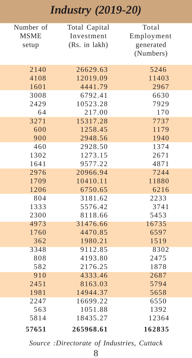### *Industry (2019-20)*

| Number of   | Total Capital | Total      |
|-------------|---------------|------------|
| <b>MSME</b> | Investment    | Employment |
| setup       | (Rs. in lakh) | generated  |
|             |               | (Numbers)  |
|             |               |            |
| 2140        | 26629.63      | 5246       |
| 4108        | 12019.09      | 11403      |
| 1601        | 4441.79       | 2967       |
| 3008        | 6792.41       | 6630       |
| 2429        | 10523.28      | 7929       |
| 64          | 217.00        | 170        |
| 3271        | 15317.28      | 7737       |
| 600         | 1258.45       | 1179       |
| 900         | 2948.56       | 1940       |
| 460         | 2928.50       | 1374       |
| 1302        | 1273.15       | 2671       |
| 1641        | 9577.22       | 4871       |
| 2976        | 20966.94      | 7244       |
| 1709        | 10410.11      | 11880      |
| 1206        | 6750.65       | 6216       |
| 804         | 3181.62       | 2233       |
| 1333        | 5576.42       | 3741       |
| 2300        | 8118.66       | 5453       |
| 4973        | 31476.66      | 16735      |
| 1760        | 4470.85       | 6597       |
| 362         | 1980.21       | 1519       |
| 3348        | 9112.85       | 8302       |
| 808         | 4193.80       | 2475       |
| 582         | 2176.25       | 1878       |
| 910         | 4333.46       | 2687       |
| 2451        | 8163.03       | 5794       |
| 1981        | 14944.37      | 5658       |
| 2247        | 16699.22      | 6550       |
| 563         | 1051.88       | 1392       |
| 5814        | 18435.27      | 12364      |
| 57651       | 265968.61     | 162835     |

*Source :Directorate of Industries, Cuttack*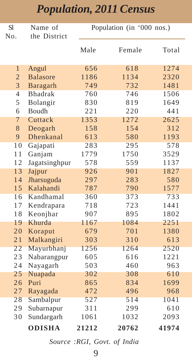| <b>S</b> l<br>No. | Name of<br>the District |       | Population (in '000 nos.) |       |  |
|-------------------|-------------------------|-------|---------------------------|-------|--|
|                   |                         | Male  | Female                    | Total |  |
| $\mathbf{1}$      | Angul                   | 656   | 618                       | 1274  |  |
| $\overline{2}$    | <b>Balasore</b>         | 1186  | 1134                      | 2320  |  |
| $\overline{3}$    | Baragarh                | 749   | 732                       | 1481  |  |
| $\overline{4}$    | <b>Bhadrak</b>          | 760   | 746                       | 1506  |  |
| 5                 | Bolangir                | 830   | 819                       | 1649  |  |
| 6                 | <b>Boudh</b>            | 221   | 220                       | 441   |  |
| 7                 | Cuttack                 | 1353  | 1272                      | 2625  |  |
| 8                 | Deogarh                 | 158   | 154                       | 312   |  |
| 9                 | Dhenkanal               | 613   | 580                       | 1193  |  |
| 10                | Gajapati                | 283   | 295                       | 578   |  |
| 11                | Ganjam                  | 1779  | 1750                      | 3529  |  |
| 12                | Jagatsinghpur           | 578   | 559                       | 1137  |  |
| 13                | Jajpur                  | 926   | 901                       | 1827  |  |
| 14                | Jharsuguda              | 297   | 283                       | 580   |  |
| 15                | Kalahandi               | 787   | 790                       | 1577  |  |
| 16                | Kandhamal               | 360   | 373                       | 733   |  |
| 17                | Kendrapara              | 718   | 723                       | 1441  |  |
| 18                | Keonjhar                | 907   | 895                       | 1802  |  |
| 19                | Khurda                  | 1167  | 1084                      | 2251  |  |
| 20                | Koraput                 | 679   | 701                       | 1380  |  |
| 21                | Malkangiri              | 303   | 310                       | 613   |  |
| 22                | Mayurbhanj              | 1256  | 1264                      | 2520  |  |
| 23                | Nabarangpur             | 605   | 616                       | 1221  |  |
| 24                | Nayagarh                | 503   | 460                       | 963   |  |
| 25                | Nuapada                 | 302   | 308                       | 610   |  |
| 26                | Puri                    | 865   | 834                       | 1699  |  |
| 27                | Rayagada                | 472   | 496                       | 968   |  |
| 28                | Sambalpur               | 527   | 514                       | 1041  |  |
| 29                | Subarnapur              | 311   | 299                       | 610   |  |
| 30                | Sundargarh              | 1061  | 1032                      | 2093  |  |
|                   | <b>ODISHA</b>           | 21212 | 20762                     | 41974 |  |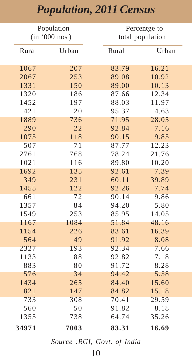|       | Population    |       | Percentge to     |
|-------|---------------|-------|------------------|
|       | (in '000 nos) |       | total population |
| Rural | Urban         | Rural | Urban            |
| 1067  | 207           | 83.79 | 16.21            |
| 2067  | 253           | 89.08 | 10.92            |
| 1331  | 150           | 89.00 | 10.13            |
| 1320  | 186           | 87.66 | 12.34            |
| 1452  | 197           | 88.03 | 11.97            |
| 421   | 20            | 95.37 | 4.63             |
| 1889  | 736           | 71.95 | 28.05            |
| 290   | 22            | 92.84 | 7.16             |
| 1075  | 118           | 90.15 | 9.85             |
| 507   | 71            | 87.77 | 12.23            |
| 2761  | 768           | 78.24 | 21.76            |
| 1021  | 116           | 89.80 | 10.20            |
| 1692  | 135           | 92.61 | 7.39             |
| 349   | 231           | 60.11 | 39.89            |
| 1455  | 122           | 92.26 | 7.74             |
| 661   | 72            | 90.14 | 9.86             |
| 1357  | 84            | 94.20 | 5.80             |
| 1549  | 253           | 85.95 | 14.05            |
| 1167  | 1084          | 51.84 | 48.16            |
| 1154  | 226           | 83.61 | 16.39            |
| 564   | 49            | 91.92 | 8.08             |
| 2327  | 193           | 92.34 | 7.66             |
| 1133  | 88            | 92.82 | 7.18             |
| 883   | 80            | 91.72 | 8.28             |
| 576   | 34            | 94.42 | 5.58             |
| 1434  | 265           | 84.40 | 15.60            |
| 821   | 147           | 84.82 | 15.18            |
| 733   | 308           | 70.41 | 29.59            |
| 560   | 50            | 91.82 | 8.18             |
| 1355  | 738           | 64.74 | 35.26            |
| 34971 | 7003          | 83.31 | 16.69            |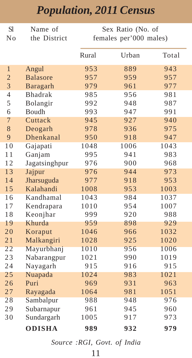| <b>S</b> l     | Name of          | Sex Ratio (No. of      |       |       |  |
|----------------|------------------|------------------------|-------|-------|--|
| No             | the District     | females per'000 males) |       |       |  |
|                |                  |                        |       |       |  |
|                |                  | Rural                  | Urban | Total |  |
| $\mathbf{1}$   | Angul            | 953                    | 889   | 943   |  |
| $\overline{2}$ | <b>Balasore</b>  | 957                    | 959   | 957   |  |
| $\overline{3}$ | Baragarh         | 979                    | 961   | 977   |  |
| $\overline{4}$ | <b>Bhadrak</b>   | 985                    | 956   | 981   |  |
| 5              | Bolangir         | 992                    | 948   | 987   |  |
| 6              | Boudh            | 993                    | 947   | 991   |  |
| 7              | Cuttack          | 945                    | 927   | 940   |  |
| 8              | Deogarh          | 978                    | 936   | 975   |  |
| 9              | <b>Dhenkanal</b> | 950                    | 918   | 947   |  |
| 10             | Gajapati         | 1048                   | 1006  | 1043  |  |
| 11             | Ganjam           | 995                    | 941   | 983   |  |
| 12             | Jagatsinghpur    | 976                    | 900   | 968   |  |
| 13             | Jajpur           | 976                    | 944   | 973   |  |
| 14             | Jharsuguda       | 977                    | 918   | 953   |  |
| 15             | Kalahandi        | 1008                   | 953   | 1003  |  |
| 16             | Kandhamal        | 1043                   | 984   | 1037  |  |
| 17             | Kendrapara       | 1010                   | 954   | 1007  |  |
| 18             | Keonjhar         | 999                    | 920   | 988   |  |
| 19             | Khurda           | 959                    | 898   | 929   |  |
| 20             | Koraput          | 1046                   | 966   | 1032  |  |
| 21             | Malkangiri       | 1028                   | 925   | 1020  |  |
| 22             | Mayurbhanj       | 1010                   | 956   | 1006  |  |
| 23             | Nabarangpur      | 1021                   | 990   | 1019  |  |
| 24             | Nayagarh         | 915                    | 916   | 915   |  |
| 25             | Nuapada          | 1024                   | 983   | 1021  |  |
| 26             | Puri             | 969                    | 931   | 963   |  |
| 27             | Rayagada         | 1064                   | 981   | 1051  |  |
| 28             | Sambalpur        | 988                    | 948   | 976   |  |
| 29             | Subarnapur       | 961                    | 945   | 960   |  |
| 30             | Sundargarh       | 1005                   | 917   | 973   |  |
|                | <b>ODISHA</b>    | 989                    | 932   | 979   |  |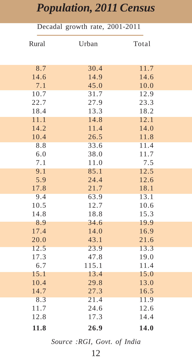| Decadal growth rate, 2001-2011 |       |       |  |  |
|--------------------------------|-------|-------|--|--|
| Rural                          | Urban | Total |  |  |
| 8.7                            | 30.4  | 11.7  |  |  |
| 14.6                           | 14.9  | 14.6  |  |  |
| 7.1                            | 45.0  | 10.0  |  |  |
| 10.7                           | 31.7  | 12.9  |  |  |
| 22.7                           | 27.9  | 23.3  |  |  |
| 18.4                           | 13.3  | 18.2  |  |  |
| 11.1                           | 14.8  | 12.1  |  |  |
| 14.2                           | 11.4  | 14.0  |  |  |
| 10.4                           | 26.5  | 11.8  |  |  |
| 8.8                            | 33.6  | 11.4  |  |  |
| 6.0                            | 38.0  | 11.7  |  |  |
| 7.1                            | 11.0  | 7.5   |  |  |
| 9.1                            | 85.1  | 12.5  |  |  |
| 5.9                            | 24.4  | 12.6  |  |  |
| 17.8                           | 21.7  | 18.1  |  |  |
| 9.4                            | 63.9  | 13.1  |  |  |
| 10.5                           | 12.7  | 10.6  |  |  |
| 14.8                           | 18.8  | 15.3  |  |  |
| 8.9                            | 34.6  | 19.9  |  |  |
| 17.4                           | 14.0  | 16.9  |  |  |
| 20.0                           | 43.1  | 21.6  |  |  |
| 12.5                           | 23.9  | 13.3  |  |  |
| 17.3                           | 47.8  | 19.0  |  |  |
| 6.7                            | 115.1 | 11.4  |  |  |
| 15.1                           | 13.4  | 15.0  |  |  |
| 10.4                           | 29.8  | 13.0  |  |  |
| 14.7                           | 27.3  | 16.5  |  |  |
| 8.3                            | 21.4  | 11.9  |  |  |
| 11.7                           | 24.6  | 12.6  |  |  |
| 12.8                           | 17.3  | 14.4  |  |  |
| 11.8                           | 26.9  | 14.0  |  |  |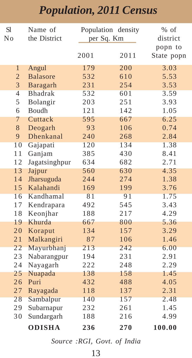| <b>S</b> l     | Name of         |      | Population density | $%$ of     |
|----------------|-----------------|------|--------------------|------------|
| No             | the District    |      | per Sq. Km         | district   |
|                |                 |      |                    | popn to    |
|                |                 | 2001 | 2011               | State popn |
| $\mathbf{1}$   | Angul           | 179  | 200                | 3.03       |
| $\overline{2}$ | <b>Balasore</b> | 532  | 610                | 5.53       |
| 3              | Baragarh        | 231  | 254                | 3.53       |
| $\overline{4}$ | <b>Bhadrak</b>  | 532  | 601                | 3.59       |
| 5              | Bolangir        | 203  | 251                | 3.93       |
| 6              | Boudh           | 121  | 142                | 1.05       |
| 7              | Cuttack         | 595  | 667                | 6.25       |
| 8              | Deogarh         | 93   | 106                | 0.74       |
| 9              | Dhenkanal       | 240  | 268                | 2.84       |
| 10             | Gajapati        | 120  | 134                | 1.38       |
| 11             | Ganjam          | 385  | 430                | 8.41       |
| 12             | Jagatsinghpur   | 634  | 682                | 2.71       |
| 13             | Jajpur          | 560  | 630                | 4.35       |
| 14             | Jharsuguda      | 244  | 274                | 1.38       |
| 15             | Kalahandi       | 169  | 199                | 3.76       |
| 16             | Kandhamal       | 81   | 91                 | 1.75       |
| 17             | Kendrapara      | 492  | 545                | 3.43       |
| 18             | Keonjhar        | 188  | 217                | 4.29       |
| 19             | Khurda          | 667  | 800                | 5.36       |
| 20             | Koraput         | 134  | 157                | 3.29       |
| 21             | Malkangiri      | 87   | 106                | 1.46       |
| 22             | Mayurbhanj      | 213  | 242                | 6.00       |
| 23             | Nabarangpur     | 194  | 231                | 2.91       |
| 24             | Nayagarh        | 222  | 248                | 2.29       |
| 25             | Nuapada         | 138  | 158                | 1.45       |
| 26             | Puri            | 432  | 488                | 4.05       |
| 27             | Rayagada        | 118  | 137                | 2.31       |
| 28             | Sambalpur       | 140  | 157                | 2.48       |
| 29             | Subarnapur      | 232  | 261                | 1.45       |
| 30             | Sundargarh      | 188  | 216                | 4.99       |
|                | <b>ODISHA</b>   | 236  | 270                | 100.00     |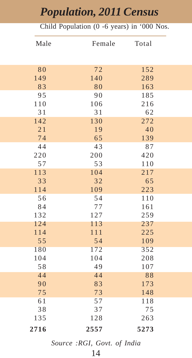#### Child Population (0 -6 years) in '000 Nos.

| Male | Female | Total |
|------|--------|-------|
|      |        |       |
| 80   | 72     | 152   |
| 149  | 140    | 289   |
| 83   | 80     | 163   |
| 95   | 90     | 185   |
| 110  | 106    | 216   |
| 31   | 31     | 62    |
| 142  | 130    | 272   |
| 21   | 19     | 40    |
| 74   | 65     | 139   |
| 44   | 43     | 87    |
| 220  | 200    | 420   |
| 57   | 53     | 110   |
| 113  | 104    | 217   |
| 33   | 32     | 65    |
| 114  | 109    | 223   |
| 56   | 54     | 110   |
| 84   | 77     | 161   |
| 132  | 127    | 259   |
| 124  | 113    | 237   |
| 114  | 111    | 225   |
| 55   | 54     | 109   |
| 180  | 172    | 352   |
| 104  | 104    | 208   |
| 58   | 49     | 107   |
| 44   | 44     | 88    |
| 90   | 83     | 173   |
| 75   | 73     | 148   |
| 61   | 57     | 118   |
| 38   | 37     | 75    |
| 135  | 128    | 263   |
| 2716 | 2557   | 5273  |
|      |        |       |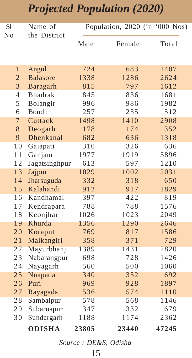#### *Projected Population (2020)*

| Sl             | Name of         |       | Population, 2020 (in '000 Nos) |       |
|----------------|-----------------|-------|--------------------------------|-------|
| No             | the District    |       |                                |       |
|                |                 | Male  | Female                         | Total |
|                |                 |       |                                |       |
|                |                 |       |                                |       |
| 1              | Angul           | 724   | 683                            | 1407  |
| $\overline{2}$ | <b>Balasore</b> | 1338  | 1286                           | 2624  |
| 3              | Baragarh        | 815   | 797                            | 1612  |
| $\overline{4}$ | <b>Bhadrak</b>  | 845   | 836                            | 1681  |
| 5              | Bolangir        | 996   | 986                            | 1982  |
| 6              | Boudh           | 257   | 255                            | 512   |
| $\overline{7}$ | Cuttack         | 1498  | 1410                           | 2908  |
| 8              | Deogarh         | 178   | 174                            | 352   |
| 9              | Dhenkanal       | 682   | 636                            | 1318  |
| 10             | Gajapati        | 310   | 326                            | 636   |
| 11             | Ganjam          | 1977  | 1919                           | 3896  |
| 12             | Jagatsinghpur   | 613   | 597                            | 1210  |
| 13             | Jajpur          | 1029  | 1002                           | 2031  |
| 14             | Jharsuguda      | 332   | 318                            | 650   |
| 15             | Kalahandi       | 912   | 917                            | 1829  |
| 16             | Kandhamal       | 397   | 422                            | 819   |
| 17             | Kendrapara      | 788   | 788                            | 1576  |
| 18             | Keonjhar        | 1026  | 1023                           | 2049  |
| 19             | Khurda          | 1356  | 1290                           | 2646  |
| 20             | Koraput         | 769   | 817                            | 1586  |
| 21             | Malkangiri      | 358   | 371                            | 729   |
| 22             | Mayurbhanj      | 1389  | 1431                           | 2820  |
| 23             | Nabarangpur     | 698   | 728                            | 1426  |
| 24             | Nayagarh        | 560   | 500                            | 1060  |
| 25             | Nuapada         | 340   | 352                            | 692   |
| 26             | Puri            | 969   | 928                            | 1897  |
| 27             | Rayagada        | 536   | 574                            | 1110  |
| 28             | Sambalpur       | 578   | 568                            | 1146  |
| 29             | Subarnapur      | 347   | 332                            | 679   |
| 30             | Sundargarh      | 1188  | 1174                           | 2362  |
|                | <b>ODISHA</b>   | 23805 | 23440                          | 47245 |

 *Source : DE&S, Odisha*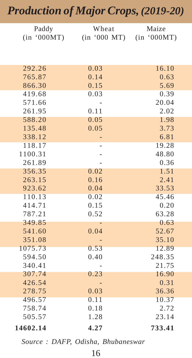#### *Production of Major Crops, (2019-20)*

| Paddy            | Wheat        | Maize          |
|------------------|--------------|----------------|
| (in '000MT)      | (in '000 MT) | (in '000MT)    |
|                  |              |                |
|                  |              |                |
| 292.26           | 0.03         | 16.10          |
| 765.87           | 0.14         | 0.63           |
| 866.30           | 0.15         | 5.69           |
| 419.68           | 0.03         | 0.39           |
| 571.66           |              | 20.04          |
| 261.95           | 0.11         | 2.02           |
| 588.20           | 0.05         | 1.98           |
| 135.48           | 0.05         | 3.73           |
| 338.12           |              | 6.81           |
| 118.17           |              | 19.28          |
| 1100.31          |              | 48.80          |
| 261.89           |              | 0.36           |
| 356.35           | 0.02         | 1.51           |
| 263.15           | 0.16         | 2.41           |
| 923.62           | 0.04         | 33.53          |
| 110.13           | 0.02         | 45.46          |
| 414.71           | 0.15         | 0.20           |
| 787.21           | 0.52         | 63.28          |
| 349.85           |              | 0.63           |
| 541.60           | 0.04         | 52.67          |
| 351.08           |              | 35.10          |
| 1075.73          | 0.53         | 12.89          |
| 594.50<br>340.41 | 0.40         | 248.35         |
| 307.74           |              | 21.75<br>16.90 |
| 426.54           | 0.23         | 0.31           |
| 278.75           | 0.03         | 36.36          |
| 496.57           | 0.11         | 10.37          |
| 758.74           | 0.18         | 2.72           |
| 505.57           | 1.28         | 23.14          |
|                  |              |                |
| 14602.14         | 4.27         | 733.41         |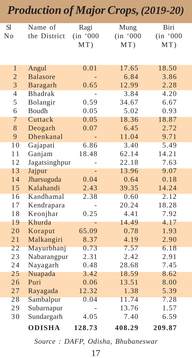#### *Production of Major Crops, (2019-20)* Sl Name of Ragi Mung Biri No the District (in '000 (in '000 (in '000 MT) MT) MT) 1 Angul 0.01 17.65 18.50 2 Balasore - 6.84 3.86 3 Baragarh 0.65 12.99 2.28 4 Bhadrak - 3.84 4.20 5 Bolangir 0.59 34.67 6.67 6 Boudh 0.05 5.02 0.93 7 Cuttack 0.05 18.36 18.87 8 Deogarh 0.07 6.45 9 Dhenkanal - 11.04 9.71 10 Gajapati 6.86 3.40 5.49 11 Ganjam 18.48 62.14 14.21 12 Jagatsinghpur - 22.18 7.63 13 Jajpur - 13.96 9.07 14 Jharsuguda 0.04 0.64 0.18 15 Kalahandi 2.43 39.35 14.24 16 Kandhamal 2.38 0.60 2.12 17 Kendrapara - 20.24 18.28 18 Keonjhar 0.25 4.41 7.92 19 Khurda - 14.49 4.17 20 Koraput 65.09 0.78 1.93 21 Malkangiri 8.37 4.19 2.90 22 Mayurbhanj 0.73 7.57 6.18<br>23 Nabarangpur 2.31 2.42 2.91 Nabarangpur 2.31 2.42 24 Nayagarh 0.48 28.68 7.45 25 Nuapada 3.42 18.59 8.62 26 Puri 0.06 13.51 8.00 27 Rayagada 12.32 1.38 5.39 28 Sambalpur 0.04 11.74 7.28 29 Subarnapur - 13.76 1.57 30 Sundargarh 4.05 7.40 6.59 **ODISHA 128.73 408.29 209.87**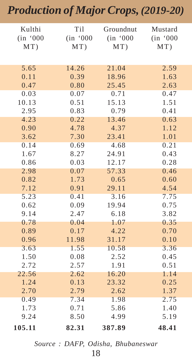#### *Production of Major Crops, (2019-20)*

| Kulthi<br>(in '000<br>MT) | Ti1<br>(in '000<br>MT) | Groundnut<br>(in '000<br>MT) | Mustard<br>(in '000<br>MT) |
|---------------------------|------------------------|------------------------------|----------------------------|
| 5.65                      | 14.26                  | 21.04                        | 2.59                       |
| 0.11                      | 0.39                   | 18.96                        | 1.63                       |
| 0.47                      | 0.80                   | 25.45                        | 2.63                       |
| 0.03                      | 0.07                   | 0.71                         | 0.47                       |
| 10.13                     | 0.51                   | 15.13                        | 1.51                       |
| 2.95                      | 0.83                   | 0.79                         | 0.41                       |
| 4.23                      | 0.22                   | 13.46                        | 0.63                       |
| 0.90                      | 4.78                   | 4.37                         | 1.12                       |
| 3.62                      | 7.30                   | 23.41                        | 1.01                       |
| 0.14                      | 0.69                   | 4.68                         | 0.21                       |
| 1.67                      | 8.27                   | 24.91                        | 0.43                       |
| 0.86                      | 0.03                   | 12.17                        | 0.28                       |
| 2.98                      | 0.07                   | 57.33                        | 0.46                       |
| 0.82                      | 1.73                   | 0.65                         | 0.60                       |
| 7.12                      | 0.91                   | 29.11                        | 4.54                       |
| 5.23                      | 0.41                   | 3.16                         | 7.75                       |
| 0.62                      | 0.09                   | 19.94                        | 0.75                       |
| 9.14                      | 2.47                   | 6.18                         | 3.82                       |
| 0.78                      | 0.04                   | 1.07                         | 0.35                       |
| 0.89                      | 0.17                   | 4.22                         | 0.70                       |
| 0.96                      | 11.98                  | 31.17                        | 0.10                       |
| 3.63                      | 1.55                   | 10.58                        | 3.36                       |
| 1.50                      | 0.08                   | 2.52                         | 0.45                       |
| 2.72                      | 2.57                   | 1.91                         | 0.51                       |
| 22.56<br>1.24             | 2.62                   | 16.20<br>23.32               | 1.14<br>0.25               |
|                           | 0.13<br>2.79           |                              | 1.37                       |
| 2.70<br>0.49              | 7.34                   | 2.62<br>1.98                 | 2.75                       |
| 1.73                      | 0.71                   | 5.86                         | 1.40                       |
| 9.24                      | 8.50                   | 4.99                         | 5.19                       |
| 105.11                    | 82.31                  | 387.89                       | 48.41                      |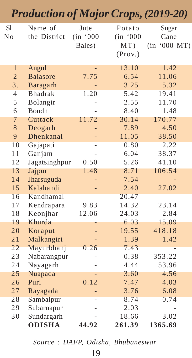|                 | <b>Production of Major Crops, (2019-20)</b> |                                   |                                      |                               |
|-----------------|---------------------------------------------|-----------------------------------|--------------------------------------|-------------------------------|
| <b>S1</b><br>No | Name of<br>the District                     | <b>Jute</b><br>(in '000<br>Bales) | Potato<br>(in '000<br>MT)<br>(Prov.) | Sugar<br>Cane<br>(in '000 MT) |
| $\mathbf{1}$    | Angul                                       |                                   | 13.10                                | 1.42                          |
| $\overline{c}$  | <b>Balasore</b>                             | 7.75                              | 6.54                                 | 11.06                         |
| 3.              | Baragarh                                    |                                   | 3.25                                 | 5.32                          |
| $\overline{4}$  | Bhadrak                                     | 1.20                              | 5.42                                 | 19.41                         |
| 5               | Bolangir                                    |                                   | 2.55                                 | 11.70                         |
| 6               | Boudh                                       |                                   | 8.40                                 | 1.48                          |
| 7               | Cuttack                                     | 11.72                             | 30.14                                | 170.77                        |
| 8               | Deogarh                                     |                                   | 7.89                                 | 4.50                          |
| 9               | Dhenkanal                                   |                                   | 11.05                                | 38.50                         |
| 10              | Gajapati                                    |                                   | 0.80                                 | 2.22                          |
| 11              | Ganjam                                      |                                   | 6.04                                 | 38.37                         |
| 12              | Jagatsinghpur                               | 0.50                              | 5.26                                 | 41.10                         |
| 13              | Jajpur                                      | 1.48                              | 8.71                                 | 106.54                        |
| 14              | Jharsuguda                                  |                                   | 7.54                                 |                               |
| 15              | Kalahandi                                   |                                   | 2.40                                 | 27.02                         |
| 16              | Kandhamal                                   |                                   | 20.47                                |                               |
| 17              | Kendrapara                                  | 9.83                              | 14.32                                | 23.14                         |
| 18              | Keonjhar                                    | 12.06                             | 24.03                                | 2.84                          |
| 19              | Khurda                                      |                                   | 6.03                                 | 15.09                         |
| 20              | Koraput                                     |                                   | 19.55                                | 418.18                        |
| 21              | Malkangiri                                  |                                   | 1.39                                 | 1.42                          |
| 22              | Mayurbhanj                                  | 0.26                              | 7.43                                 |                               |
| 23              | Nabarangpur                                 |                                   | 0.38                                 | 353.22                        |
| 24              | Nayagarh                                    |                                   | 4.44                                 | 53.96                         |
| 25              | Nuapada                                     |                                   | 3.60                                 | 4.56                          |
| 26              | Puri                                        | 0.12                              | 7.47                                 | 4.03                          |
| 27              | Rayagada                                    |                                   | 3.76                                 | 6.08                          |
| 28              | Sambalpur                                   |                                   | 8.74                                 | 0.74                          |
| 29              | Subarnapur                                  |                                   | 2.03                                 |                               |
| 30              | Sundargarh                                  |                                   | 18.66                                | 3.02                          |
|                 | <b>ODISHA</b>                               | 44.92                             | 261.39                               | 1365.69                       |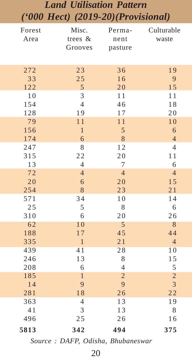#### *Land Utilisation Pattern ('000 Hect) (2019-20)(Provisional)*

| Forest | Misc.          | Perma-         | Culturable     |
|--------|----------------|----------------|----------------|
| Area   | trees $&$      | nent           | waste          |
|        | Grooves        | pasture        |                |
|        |                |                |                |
| 272    | 23             | 36             | 19             |
| 33     | 25             | 16             | 9              |
| 122    | 5              | 20             | 15             |
| 10     | 3              | 11             | 11             |
| 154    | $\overline{4}$ | 46             | 18             |
| 128    | 19             | 17             | 20             |
| 79     | 11             | 11             | 10             |
| 156    | $\mathbf{1}$   | 5              | 6              |
| 174    | 6              | 8              | $\overline{4}$ |
| 247    | 8              | 12             | $\overline{4}$ |
| 315    | 22             | 20             | 11             |
| 13     | $\overline{4}$ | 7              | 6              |
| 72     | $\overline{4}$ | $\overline{4}$ | $\overline{4}$ |
| 20     | 6              | 20             | 15             |
| 254    | 8              | 23             | 21             |
| 571    | 34             | 10             | 14             |
| 25     | 5              | 8              | 6              |
| 310    | 6              | 20             | 26             |
| 62     | 10             | 5              | 8              |
| 188    | 17             | 45             | 44             |
| 335    | $\mathbf{1}$   | 21             | $\overline{4}$ |
| 439    | 41             | 28             | 10             |
| 246    | 13             | 8              | 15             |
| 208    | 6              | $\overline{4}$ | 5              |
| 185    | $\overline{1}$ | $\overline{2}$ | $\overline{c}$ |
| 14     | 9              | 9              | 3              |
| 281    | 18             | 26             | 22             |
| 363    | $\overline{4}$ | 13             | 19             |
| 41     | 3              | 13             | 8              |
| 496    | 25             | 26             | 16             |
| 5813   | 342            | 494            | 375            |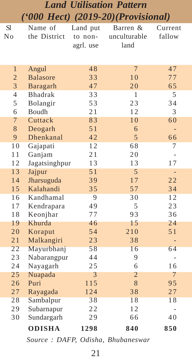#### *Land Utilisation Pattern ('000 Hect) (2019-20)(Provisional)*

| <b>S</b> l     | Name of         | Land put  | Barren &       | Current                  |
|----------------|-----------------|-----------|----------------|--------------------------|
| No             | the District    | to non-   | unculturable   | fallow                   |
|                |                 | agrl. use | land           |                          |
|                |                 |           |                |                          |
|                |                 |           |                |                          |
| $\mathbf{1}$   | Angul           | 48        | $\overline{7}$ | 47                       |
| $\overline{2}$ | <b>Balasore</b> | 33        | 10             | 77                       |
| 3              | Baragarh        | 47        | 20             | 65                       |
| $\overline{4}$ | <b>Bhadrak</b>  | 33        | $\mathbf{1}$   | 5                        |
| 5              | Bolangir        | 53        | 23             | 34                       |
| 6              | Boudh           | 21        | 12             | 3                        |
| $\overline{7}$ | Cuttack         | 83        | 10             | 60                       |
| 8              | Deogarh         | 51        | 6              |                          |
| 9              | Dhenkanal       | 42        | 5              | 66                       |
| 10             | Gajapati        | 12        | 68             | 7                        |
| 11             | Ganjam          | 21        | 20             | $\overline{a}$           |
| 12             | Jagatsinghpur   | 13        | 13             | 17                       |
| 13             | Jajpur          | 51        | 5              | $\overline{\phantom{a}}$ |
| 14             | Jharsuguda      | 39        | 17             | 22                       |
| 15             | Kalahandi       | 35        | 57             | 34                       |
| 16             | Kandhamal       | 9         | 30             | 12                       |
| 17             | Kendrapara      | 49        | 5              | 23                       |
| 18             | Keonjhar        | 77        | 93             | 36                       |
| 19             | Khurda          | 46        | 15             | 24                       |
| 20             | Koraput         | 54        | 210            | 51                       |
| 21             | Malkangiri      | 23        | 38             | $\overline{\phantom{0}}$ |
| 22             | Mayurbhanj      | 58        | 16             | 64                       |
| 23             | Nabarangpur     | 44        | 9              |                          |
| 24             | Nayagarh        | 25        | 6              | 16                       |
| 25             | Nuapada         | 3         | 2              | 7                        |
| 26             | Puri            | 115       | 8              | 95                       |
| 27             | Rayagada        | 124       | 38             | 27                       |
| 28             | Sambalpur       | 38        | 18             | 18                       |
| 29             | Subarnapur      | 22        | 12             |                          |
| 30             | Sundargarh      | 29        | 66             | 40                       |
|                | <b>ODISHA</b>   | 1298      | 840            | 850                      |
|                |                 |           |                |                          |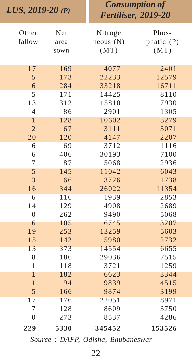| LUS, $2019-20(P)$ |            |          | <b>Consumption of</b><br>Fertiliser, 2019-20 |
|-------------------|------------|----------|----------------------------------------------|
| Other             | <b>Net</b> | Nitroge  | Phos-                                        |
| fallow            | area       | neous(N) | phatic (P)                                   |
|                   | sown       | (MT)     | (MT)                                         |
|                   |            |          |                                              |
| 17                | 169        | 4077     | 2401                                         |
| 5                 | 173        | 22233    | 12579                                        |
| 6                 | 284        | 33218    | 16711                                        |
| 5                 | 171        | 14425    | 8110                                         |
| 13                | 312        | 15810    | 7930                                         |
| $\overline{4}$    | 86         | 2901     | 1305                                         |
| $\mathbf{1}$      | 128        | 10602    | 3279                                         |
| $\overline{2}$    | 67         | 3111     | 3071                                         |
| 20                | 120        | 4147     | 2207                                         |
| 6                 | 69         | 3712     | 1116                                         |
| 6                 | 406        | 30193    | 7100                                         |
| $\tau$            | 87         | 5068     | 2936                                         |
| 5                 | 145        | 11042    | 6043                                         |
| 3                 | 66         | 3726     | 1738                                         |
| 16                | 344        | 26022    | 11354                                        |
| 6                 | 116        | 1939     | 2853                                         |
| 14                | 129        | 4908     | 2689                                         |
| $\overline{0}$    | 262        | 9490     | 5068                                         |
| 6                 | 105        | 6745     | 3207                                         |
| 19                | 253        | 13259    | 5603                                         |
| 15                | 142        | 5980     | 2732                                         |
| 13                | 373        | 14554    | 6655                                         |
| 8                 | 186        | 29036    | 7515                                         |
| $\mathbf{1}$      | 118        | 3721     | 1259                                         |
| 1                 | 182        | 6623     | 3344                                         |
| $\mathbf{1}$      | 94         | 9839     | 4515                                         |
| 5                 | 166        | 9874     | 3199                                         |
| 17                | 176        | 22051    | 8971                                         |
| 7                 | 128        | 8609     | 3750                                         |
| $\overline{0}$    | 273        | 8537     | 4286                                         |
| 229               | 5330       | 345452   | 153526                                       |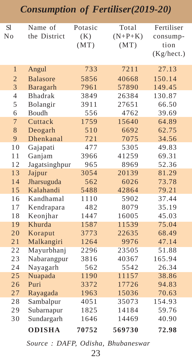#### *Consumption of Fertiliser(2019-20)*

| <b>S1</b><br>No | Name of<br>the District | Potasic<br>(K)<br>(MT) | Total<br>$(N+P+K)$<br>(MT) | Fertiliser<br>consump-<br>tion<br>(Kg/hect.) |
|-----------------|-------------------------|------------------------|----------------------------|----------------------------------------------|
| $\mathbf{1}$    | Angul                   | 733                    | 7211                       | 27.13                                        |
| $\overline{2}$  | <b>Balasore</b>         | 5856                   | 40668                      | 150.14                                       |
| 3               | Baragarh                | 7961                   | 57890                      | 149.45                                       |
| $\overline{4}$  | <b>Bhadrak</b>          | 3849                   | 26384                      | 130.87                                       |
| 5               | Bolangir                | 3911                   | 27651                      | 66.50                                        |
| 6               | <b>Boudh</b>            | 556                    | 4762                       | 39.69                                        |
| $\overline{7}$  | Cuttack                 | 1759                   | 15640                      | 64.89                                        |
| 8               | Deogarh                 | 510                    | 6692                       | 62.75                                        |
| 9               | Dhenkanal               | 721                    | 7075                       | 34.56                                        |
| 10              | Gajapati                | 477                    | 5305                       | 49.83                                        |
| 11              | Ganjam                  | 3966                   | 41259                      | 69.31                                        |
| 12              | Jagatsinghpur           | 965                    | 8969                       | 52.36                                        |
| 13              | Jajpur                  | 3054                   | 20139                      | 81.29                                        |
| 14              | Jharsuguda              | 562                    | 6026                       | 73.78                                        |
| 15              | Kalahandi               | 5488                   | 42864                      | 79.21                                        |
| 16              | Kandhamal               | 1110                   | 5902                       | 37.44                                        |
| 17              | Kendrapara              | 482                    | 8079                       | 35.19                                        |
| 18              | Keonjhar                | 1447                   | 16005                      | 45.03                                        |
| 19              | Khurda                  | 1587                   | 11539                      | 75.04                                        |
| 20              | Koraput                 | 3773                   | 22635                      | 68.49                                        |
| 21              | Malkangiri              | 1264                   | 9976                       | 47.14                                        |
| $\overline{22}$ | Mayurbhanj              | 2296                   | 23505                      | 51.88                                        |
| 23              | Nabarangpur             | 3816                   | 40367                      | 165.94                                       |
| 24              | Nayagarh                | 562                    | 5542                       | 26.34                                        |
| 25              | Nuapada                 | 1190                   | 11157                      | 38.86                                        |
| 26              | Puri                    | 3372                   | 17726                      | 94.83                                        |
| 27              | Rayagada                | 1963                   | 15036                      | 70.63                                        |
| 28              | Sambalpur               | 4051                   | 35073                      | 154.93                                       |
| 29              | Subarnapur              | 1825                   | 14184                      | 59.76                                        |
| 30              | Sundargarh              | 1646                   | 14469                      | 40.90                                        |
|                 | <b>ODISHA</b>           | 70752                  | 569730                     | 72.98                                        |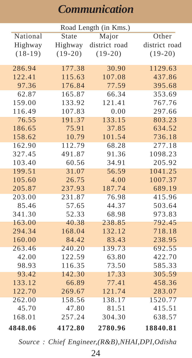#### *Communication*

| Road Length (in Kms.) |           |               |               |  |
|-----------------------|-----------|---------------|---------------|--|
| National              | State     | Major         | Other         |  |
| Highway               | Highway   | district road | district road |  |
| $(18-19)$             | $(19-20)$ | $(19-20)$     | $(19-20)$     |  |
|                       |           |               |               |  |
| 286.94                | 177.38    | 30.90         | 1129.63       |  |
| 122.41                | 115.63    | 107.08        | 437.86        |  |
| 97.36                 | 176.84    | 77.59         | 395.68        |  |
| 62.87                 | 165.87    | 66.34         | 353.69        |  |
| 159.00                | 133.92    | 121.41        | 767.76        |  |
| 116.49                | 107.83    | 0.00          | 297.66        |  |
| 76.55                 | 191.37    | 133.15        | 803.23        |  |
| 186.65                | 75.91     | 37.85         | 634.52        |  |
| 158.62                | 10.79     | 101.54        | 736.18        |  |
| 162.90                | 112.79    | 68.28         | 277.18        |  |
| 327.45                | 491.87    | 91.36         | 1098.23       |  |
| 103.40                | 60.56     | 34.91         | 205.92        |  |
| 199.51                | 31.07     | 56.59         | 1041.25       |  |
| 105.60                | 26.75     | 4.00          | 1007.37       |  |
| 205.87                | 237.93    | 187.74        | 689.19        |  |
| 203.00                | 231.87    | 76.98         | 415.96        |  |
| 85.46                 | 57.65     | 44.37         | 503.64        |  |
| 341.30                | 52.33     | 68.98         | 973.83        |  |
| 163.00                | 40.38     | 238.85        | 792.45        |  |
| 294.34                | 168.04    | 132.12        | 718.18        |  |
| 160.00                | 84.42     | 83.43         | 238.95        |  |
| 263.46                | 240.20    | 139.73        | 692.55        |  |
| 42.00                 | 122.59    | 63.80         | 422.70        |  |
| 98.93                 | 116.35    | 73.50         | 585.33        |  |
| 93.42                 | 142.30    | 17.33         | 305.59        |  |
| 133.12                | 66.89     | 77.41         | 458.36        |  |
| 122.70                | 269.67    | 121.74        | 283.07        |  |
| 262.00                | 158.56    | 138.17        | 1520.77       |  |
| 45.70                 | 47.80     | 81.51         | 415.51        |  |
| 168.01                | 257.24    | 304.30        | 638.57        |  |
| 4848.06               | 4172.80   | 2780.96       | 18840.81      |  |

*Source : Chief Engineer,(R&B),NHAI,DPI,Odisha*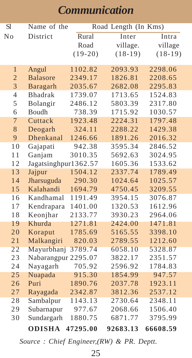#### *Communication*

| Sl             | Name of the          |           | Road Length (In Kms) |           |
|----------------|----------------------|-----------|----------------------|-----------|
| No             | District             | Rural     | Inter                | Intra     |
|                |                      | Road      | village.             | village   |
|                |                      | $(19-20)$ | $(18-19)$            | $(18-19)$ |
|                |                      |           |                      |           |
| $\mathbf{1}$   | Angul                | 1102.82   | 2093.93              | 2298.06   |
| $\overline{c}$ | <b>Balasore</b>      | 2349.17   | 1826.81              | 2208.65   |
| 3              | Baragarh             | 2035.67   | 2682.08              | 2295.83   |
| $\overline{4}$ | <b>Bhadrak</b>       | 1739.07   | 1713.65              | 1524.83   |
| 5              | Bolangir             | 2486.12   | 5803.39              | 2317.80   |
| 6              | Boudh                | 738.39    | 1715.92              | 1030.57   |
| $\overline{7}$ | Cuttack              | 1923.48   | 2224.31              | 1797.48   |
| 8              | Deogarh              | 324.11    | 2288.22              | 1429.38   |
| 9              | Dhenkanal            | 1246.66   | 1891.26              | 2016.32   |
| 10             | Gajapati             | 942.38    | 3595.34              | 2846.52   |
| 11             | Ganjam               | 3010.35   | 5692.63              | 3024.95   |
| 12             | Jagatsinghpur1362.57 |           | 1605.36              | 1533.62   |
| 13             | Jajpur               | 1504.12   | 2337.74              | 1789.49   |
| 14             | Jharsuguda           | 290.30    | 1024.64              | 1025.57   |
| 15             | Kalahandi            | 1694.79   | 4750.45              | 3209.55   |
| 16             | Kandhamal            | 1191.49   | 3954.15              | 3076.87   |
| 17             | Kendrapara           | 1401.00   | 1320.53              | 1612.96   |
| 18             | Keonjhar             | 2133.77   | 3930.23              | 2964.06   |
| 19             | Khurda               | 1271.81   | 2424.00              | 1471.81   |
| 20             | Koraput              | 1785.69   | 5165.55              | 3398.10   |
| 21             | Malkangiri           | 820.03    | 2789.55              | 1212.60   |
| 22             | Mayurbhanj           | 3789.74   | 6058.10              | 5328.87   |
| 23             | Nabarangpur 2295.07  |           | 3822.17              | 2351.57   |
| 24             | Nayagarh             | 705.92    | 2596.92              | 1784.83   |
| 25             | Nuapada              | 915.30    | 1854.99              | 947.57    |
| 26             | Puri                 | 1890.76   | 2037.78              | 1923.11   |
| 27             | Rayagada             | 2342.87   | 3812.36              | 2537.12   |
| 28             | Sambalpur            | 1143.13   | 2730.64              | 2348.11   |
| 29             | Subarnapur           | 977.67    | 2068.66              | 1506.40   |
| 30             | Sundargarh           | 1880.75   | 6871.77              | 3795.99   |
|                | <b>ODISHA</b>        | 47295.00  | 92683.13             | 66608.59  |

*Source : Chief Engineer,(RW) & PR. Deptt.*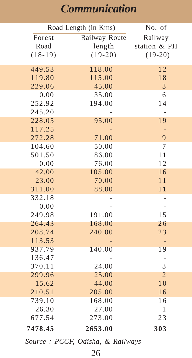#### *Communication*

|                  | Road Length (in Kms) |                |  |
|------------------|----------------------|----------------|--|
| Forest           | Railway Route        | Railway        |  |
| Road             | length               | station & PH   |  |
| $(18-19)$        | $(19-20)$            | $(19-20)$      |  |
|                  |                      |                |  |
| 449.53           | 118.00               | 12             |  |
| 119.80           | 115.00               | 18             |  |
| 229.06           | 45.00                | 3              |  |
| 0.00             | 35.00                | 6<br>14        |  |
| 252.92           | 194.00               |                |  |
| 245.20<br>228.05 |                      | 19             |  |
| 117.25           | 95.00                |                |  |
| 272.28           | 71.00                | 9              |  |
| 104.60           | 50.00                | 7              |  |
| 501.50           | 86.00                | 11             |  |
| 0.00             | 76.00                | 12             |  |
| 42.00            | 105.00               | 16             |  |
| 23.00            | 70.00                | 11             |  |
| 311.00           | 88.00                | 11             |  |
| 332.18           |                      |                |  |
| 0.00             |                      | L              |  |
| 249.98           | 191.00               | 15             |  |
| 264.43           | 168.00               | 26             |  |
| 208.74           | 240.00               | 23             |  |
| 113.53           |                      | -              |  |
| 937.79           | 140.00               | 19             |  |
| 136.47           |                      | -              |  |
| 370.11           | 24.00                | 3              |  |
| 299.96           | 25.00                | $\overline{2}$ |  |
| 15.62            | 44.00                | 10             |  |
| 210.51           | 205.00               | 16             |  |
| 739.10           | 168.00               | 16             |  |
| 26.30            | 27.00                | $\mathbf{1}$   |  |
| 677.54           | 273.00               | 23             |  |
| 7478.45          | 2653.00              | 303            |  |

*Source : PCCF, Odisha, & Railways*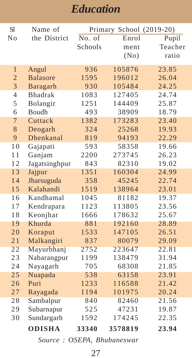| S1             | Name of         |         | Primary School (2019-20) |         |
|----------------|-----------------|---------|--------------------------|---------|
| No             | the District    | No. of  | Enrol                    | Pupil   |
|                |                 | Schools | ment                     | Teacher |
|                |                 |         | (No)                     | ratio   |
|                |                 |         |                          |         |
| $\mathbf{1}$   | Angul           | 936     | 105876                   | 23.85   |
| $\overline{2}$ | <b>Balasore</b> | 1595    | 196012                   | 26.04   |
| $\overline{3}$ | Baragarh        | 930     | 105484                   | 24.25   |
| $\overline{4}$ | <b>Bhadrak</b>  | 1083    | 127405                   | 24.74   |
| 5              | Bolangir        | 1251    | 144409                   | 25.87   |
| 6              | Boudh           | 493     | 38909                    | 18.79   |
| $\overline{7}$ | Cuttack         | 1382    | 173283                   | 23.40   |
| 8              | Deogarh         | 324     | 25268                    | 19.93   |
| 9              | Dhenkanal       | 819     | 94193                    | 22.29   |
| 10             | Gajapati        | 593     | 58358                    | 19.66   |
| 11             | Ganjam          | 2200    | 273745                   | 26.23   |
| 12             | Jagatsinghpur   | 843     | 82310                    | 19.02   |
| 13             | Jajpur          | 1351    | 160304                   | 24.99   |
| 14             | Jharsuguda      | 358     | 45245                    | 22.74   |
| 15             | Kalahandi       | 1519    | 138964                   | 23.01   |
| 16             | Kandhamal       | 1045    | 81182                    | 19.37   |
| 17             | Kendrapara      | 1123    | 113805                   | 23.56   |
| 18             | Keonjhar        | 1666    | 178632                   | 25.67   |
| 19             | Khurda          | 881     | 192160                   | 28.89   |
| 20             | Koraput         | 1533    | 147105                   | 26.51   |
| 21             | Malkangiri      | 837     | 80079                    | 29.09   |
| 22             | Mayurbhanj      | 2752    | 223647                   | 22.81   |
| 23             | Nabarangpur     | 1199    | 138479                   | 31.94   |
| 24             | Nayagarh        | 705     | 68308                    | 21.85   |
| 25             | Nuapada         | 538     | 63158                    | 23.91   |
| 26             | Puri            | 1233    | 116588                   | 21.42   |
| 27             | Rayagada        | 1194    | 101975                   | 20.24   |
| 28             | Sambalpur       | 840     | 82460                    | 21.56   |
| 29             | Subarnapur      | 525     | 47231                    | 19.87   |
| 30             | Sundargarh      | 1592    | 174245                   | 22.35   |
|                | <b>ODISHA</b>   | 33340   | 3578819                  | 23.94   |
|                |                 |         |                          |         |

*Source : OSEPA, Bhubaneswar*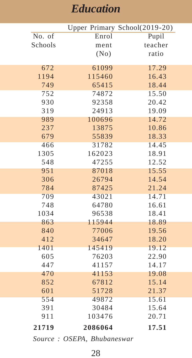|         |         | Upper Primary School(2019-20) |
|---------|---------|-------------------------------|
| No. of  | Enrol   | Pupil                         |
| Schools | ment    | teacher                       |
|         | (No)    | ratio                         |
|         |         |                               |
| 672     | 61099   | 17.29                         |
| 1194    | 115460  | 16.43                         |
| 749     | 65415   | 18.44                         |
| 752     | 74872   | 15.50                         |
| 930     | 92358   | 20.42                         |
| 319     | 24913   | 19.09                         |
| 989     | 100696  | 14.72                         |
| 237     | 13875   | 10.86                         |
| 679     | 55839   | 18.33                         |
| 466     | 31782   | 14.45                         |
| 1305    | 162023  | 18.91                         |
| 548     | 47255   | 12.52                         |
| 951     | 87018   | 15.55                         |
| 306     | 26794   | 14.54                         |
| 784     | 87425   | 21.24                         |
| 709     | 43021   | 14.71                         |
| 748     | 64780   | 16.61                         |
| 1034    | 96538   | 18.41                         |
| 863     | 115944  | 18.89                         |
| 840     | 77006   | 19.56                         |
| 412     | 34647   | 18.20                         |
| 1401    | 145419  | 19.12                         |
| 605     | 76203   | 22.90                         |
| 447     | 41157   | 14.17                         |
| 470     | 41153   | 19.08                         |
| 852     | 67812   | 15.14                         |
| 601     | 51728   | 21.37                         |
| 554     | 49872   | 15.61                         |
| 391     | 30484   | 15.64                         |
| 911     | 103476  | 20.71                         |
| 21719   | 2086064 | 17.51                         |
|         |         |                               |

*Source : OSEPA, Bhubaneswar*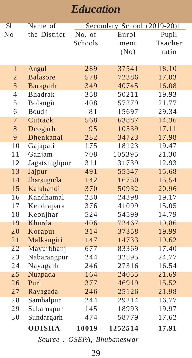| SI             | Name of         |         | Secondary School (2019-20)I |         |
|----------------|-----------------|---------|-----------------------------|---------|
| No             | the District    | No. of  | Enrol-                      | Pupil   |
|                |                 | Schools | ment                        | Teacher |
|                |                 |         | (No)                        | ratio   |
|                |                 |         |                             |         |
| $\mathbf{1}$   | Angul           | 289     | 37541                       | 18.10   |
| $\mathbf{2}$   | <b>Balasore</b> | 578     | 72386                       | 17.03   |
| $\overline{3}$ | Baragarh        | 349     | 40745                       | 16.08   |
| $\overline{4}$ | <b>Bhadrak</b>  | 358     | 50211                       | 19.93   |
| 5              | Bolangir        | 408     | 57279                       | 21.77   |
| 6              | Boudh           | 81      | 15697                       | 29.34   |
| 7              | Cuttack         | 568     | 63887                       | 14.36   |
| 8              | Deogarh         | 95      | 10539                       | 17.11   |
| 9              | Dhenkanal       | 282     | 34723                       | 17.98   |
| 10             | Gajapati        | 175     | 18123                       | 19.47   |
| 11             | Ganjam          | 708     | 105395                      | 21.30   |
| 12             | Jagatsinghpur   | 311     | 31739                       | 12.93   |
| 13             | Jajpur          | 491     | 55547                       | 15.68   |
| 14             | Jharsuguda      | 142     | 16750                       | 15.54   |
| 15             | Kalahandi       | 370     | 50932                       | 20.96   |
| 16             | Kandhamal       | 230     | 24398                       | 19.17   |
| 17             | Kendrapara      | 376     | 41099                       | 15.05   |
| 18             | Keonjhar        | 524     | 54599                       | 14.79   |
| 19             | Khurda          | 406     | 72467                       | 19.86   |
| 20             | Koraput         | 314     | 37358                       | 19.99   |
| 21             | Malkangiri      | 147     | 14733                       | 19.62   |
| 22             | Mayurbhanj      | 677     | 83369                       | 17.40   |
| 23             | Nabarangpur     | 244     | 32595                       | 24.77   |
| 24             | Nayagarh        | 246     | 27316                       | 16.54   |
| 25             | Nuapada         | 164     | 24055                       | 21.69   |
| 26             | Puri            | 377     | 46919                       | 15.52   |
| 27             | Rayagada        | 246     | 25126                       | 21.98   |
| 28             | Sambalpur       | 244     | 29214                       | 16.77   |
| 29             | Subarnapur      | 145     | 18993                       | 19.97   |
| 30             | Sundargarh      | 474     | 58779                       | 17.62   |
|                | <b>ODISHA</b>   | 10019   | 1252514                     | 17.91   |

*Source : OSEPA, Bhubaneswar*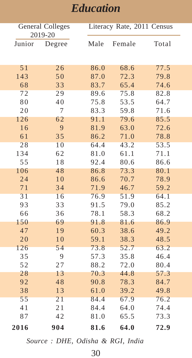| General Colleges<br>2019-20 |          |              | Literacy Rate, 2011 Census |              |
|-----------------------------|----------|--------------|----------------------------|--------------|
| Junior                      | Degree   | Male         | Female                     | Total        |
| 51                          | 26       | 86.0         | 68.6                       | 77.5         |
| 143                         | 50       | 87.0         | 72.3                       | 79.8         |
| 68                          | 33       | 83.7         | 65.4                       | 74.6         |
| 72                          | 29       | 89.6         | 75.8                       | 82.8         |
| 80                          | 40       | 75.8         | 53.5                       | 64.7         |
| 20                          | 7        | 83.3         | 59.8                       | 71.6         |
| 126                         | 62       | 91.1         | 79.6                       | 85.5         |
| 16                          | 9        | 81.9         | 63.0                       | 72.6         |
| 61                          | 35       | 86.2         | 71.0                       | 78.8         |
| 28                          | 10       | 64.4         | 43.2                       | 53.5         |
| 134                         | 62       | 81.0         | 61.1                       | 71.1         |
| 55                          | 18       | 92.4         | 80.6                       | 86.6         |
| 106                         | 48       | 86.8         | 73.3                       | 80.1         |
| 24                          | 10       | 86.6         | 70.7                       | 78.9         |
| 71                          | 34       | 71.9         | 46.7                       | 59.2         |
| 31                          | 16       | 76.9         | 51.9                       | 64.1         |
| 93                          | 33       | 91.5         | 79.0                       | 85.2         |
| 66                          | 36       | 78.1         | 58.3                       | 68.2         |
| 150                         | 69       | 91.8         | 81.6                       | 86.9         |
| 47                          | 19       | 60.3         | 38.6                       | 49.2         |
| 20                          | 10       | 59.1         | 38.3                       | 48.5         |
| 126                         | 54       | 73.8         | 52.7                       | 63.2         |
| 35                          | 9        | 57.3         | 35.8                       | 46.4         |
| 52                          | 27       | 88.2         | 72.0                       | 80.4         |
| 28<br>92                    | 13<br>48 | 70.3<br>90.8 | 44.8<br>78.3               | 57.3         |
|                             |          |              |                            | 84.7         |
| 38<br>55                    | 13<br>21 | 61.0         | 39.2                       | 49.8<br>76.2 |
| 41                          | 21       | 84.4<br>84.4 | 67.9<br>64.0               | 74.4         |
| 87                          | 42       | 81.0         | 65.5                       | 73.3         |
|                             |          |              |                            |              |
| 2016                        | 904      | 81.6         | 64.0                       | 72.9         |

*Source : DHE, Odisha & RGI, India*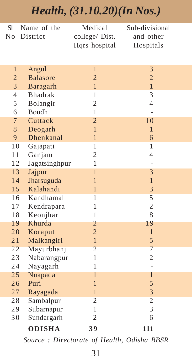#### *Health, (31.10.20)(In Nos.)*

| S1                               | Name of the             | Medical                          | Sub-divisional      |  |
|----------------------------------|-------------------------|----------------------------------|---------------------|--|
| No                               | District                | college/ Dist.                   | and other           |  |
|                                  |                         | Hqrs hospital                    | Hospitals           |  |
|                                  |                         |                                  |                     |  |
|                                  |                         |                                  |                     |  |
| $\mathbf{1}$                     | Angul                   | $\mathbf{1}$                     | 3                   |  |
| $\overline{c}$<br>$\overline{3}$ | <b>Balasore</b>         | $\overline{c}$                   | $\overline{c}$      |  |
|                                  | Baragarh                | $\mathbf{1}$                     | $\mathbf{1}$        |  |
| $\overline{4}$                   | <b>Bhadrak</b>          | 1                                | 3                   |  |
| 5                                | Bolangir                | $\overline{c}$                   | $\overline{4}$      |  |
| 6                                | Boudh                   | 1                                |                     |  |
| $\overline{7}$                   | Cuttack                 | $\overline{2}$<br>$\overline{1}$ | 10                  |  |
| 8                                | Deogarh                 |                                  | $\mathbf{1}$        |  |
| 9                                | Dhenkanal               | $\mathbf{1}$<br>1                | 6                   |  |
| 10                               | Gajapati                |                                  | 1<br>$\overline{4}$ |  |
| 11                               | Ganjam                  | $\overline{c}$<br>1              |                     |  |
| 12                               | Jagatsinghpur           | $\mathbf{1}$                     |                     |  |
| 13                               | Jajpur                  | $\overline{1}$                   | 3<br>$\mathbf{1}$   |  |
| 14                               | Jharsuguda<br>Kalahandi | $\overline{1}$                   | 3                   |  |
| 15                               |                         | 1                                |                     |  |
| 16                               | Kandhamal               | 1                                | 5<br>$\overline{c}$ |  |
| 17                               | Kendrapara              |                                  |                     |  |
| 18                               | Keonjhar<br>Khurda      | 1                                | 8                   |  |
| 19<br>20                         |                         | 2<br>$\overline{2}$              | 19<br>$\mathbf{1}$  |  |
|                                  | Koraput                 |                                  |                     |  |
| 21<br>22                         | Malkangiri              | $\mathbf{1}$<br>$\overline{2}$   | 5<br>$\overline{7}$ |  |
| 23                               | Mayurbhanj              | 1                                | $\overline{c}$      |  |
|                                  | Nabarangpur             | $\mathbf{1}$                     |                     |  |
| 24<br>25                         | Nayagarh                | 1                                | $\mathbf{1}$        |  |
| 26                               | Nuapada<br>Puri         | $\mathbf{1}$                     | 5                   |  |
|                                  |                         | $\overline{1}$                   | 3                   |  |
| 27<br>28                         | Rayagada                | $\overline{2}$                   | $\overline{2}$      |  |
|                                  | Sambalpur               | 1                                | 3                   |  |
| 29                               | Subarnapur              | $\overline{c}$                   | 6                   |  |
| 30                               | Sundargarh              |                                  |                     |  |
|                                  | <b>ODISHA</b>           | 39                               | 111                 |  |

*Source : Directorate of Health, Odisha BBSR*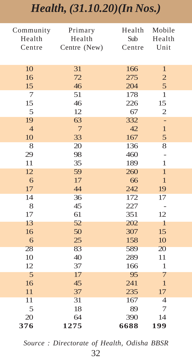## *Health, (31.10.20)(In Nos.)*

| Community       | Primary         | Health | Mobile         |
|-----------------|-----------------|--------|----------------|
| Health          | Health          | Sub    | Health         |
| Centre          | Centre (New)    | Centre | Unit           |
|                 |                 |        |                |
| 10              | 31              | 166    | $\mathbf{1}$   |
| 16              | 72              | 275    | $\overline{c}$ |
| 15              | 46              | 204    | 5              |
| 7               | 51              | 178    | $\mathbf{1}$   |
| 15              | 46              | 226    | 15             |
| 5               | 12              | 67     | $\overline{c}$ |
| 19              | 63              | 332    | ÷              |
| $\overline{4}$  | $7\phantom{.0}$ | 42     | $\mathbf{1}$   |
| 10              | 33              | 167    | 5              |
| 8               | 20              | 136    | 8              |
| 29              | 98              | 460    | $\overline{a}$ |
| 11              | 35              | 189    | $\mathbf{1}$   |
| 12              | 59              | 260    | $\mathbf{1}$   |
| 6               | 17              | 66     | $\mathbf{1}$   |
| 17              | 44              | 242    | 19             |
| 14              | 36              | 172    | 17             |
| 8               | 45              | 227    |                |
| 17              | 61              | 351    | 12             |
| 13              | 52              | 202    | $\mathbf{1}$   |
| 16              | 50              | 307    | 15             |
| 6               | 25              | 158    | 10             |
| 28              | 83              | 589    | 20             |
| 10              | 40              | 289    | 11             |
| 12              | 37              | 166    | $\mathbf{1}$   |
| 5               | 17              | 95     | 7              |
| 16              | 45              | 241    | $\mathbf{1}$   |
| 11              | 37              | 235    | 17             |
| $\overline{11}$ | 31              | 167    | $\overline{4}$ |
| 5               | 18              | 89     | 7              |
| 20              | 64              | 390    | 14             |
| 376             | 1275            | 6688   | 199            |

*Source : Directorate of Health, Odisha BBSR*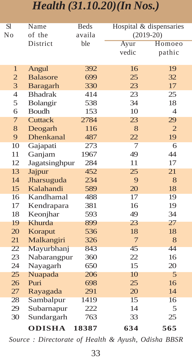#### *Health (31.10.20)(In Nos.)*

| SI             | Name             | <b>Beds</b> | Hospital & dispensaries |                |
|----------------|------------------|-------------|-------------------------|----------------|
| No             | of the           | availa      | $(2019-20)$             |                |
|                | District         | ble         | Ayur                    | Homoeo         |
|                |                  |             | vedic                   | pathic         |
|                |                  |             |                         |                |
| 1              | Angul            | 392         | 16                      | 19             |
| $\overline{2}$ | <b>Balasore</b>  | 699         | 25                      | 32             |
| 3              | Baragarh         | 330         | 23                      | 17             |
| $\overline{4}$ | <b>Bhadrak</b>   | 414         | 23                      | 25             |
| 5              | Bolangir         | 538         | 34                      | 18             |
| 6              | Boudh            | 153         | 10                      | $\overline{4}$ |
| 7              | <b>Cuttack</b>   | 2784        | 23                      | 29             |
| 8              | Deogarh          | 116         | 8                       | $\overline{2}$ |
| 9              | <b>Dhenkanal</b> | 487         | 22                      | 19             |
| 10             | Gajapati         | 273         | 7                       | 6              |
| 11             | Ganjam           | 1967        | 49                      | 44             |
| 12             | Jagatsinghpur    | 284         | 11                      | 17             |
| 13             | Jajpur           | 452         | 25                      | 21             |
| 14             | Jharsuguda       | 234         | 9                       | 8              |
| 15             | Kalahandi        | 589         | 20                      | 18             |
| 16             | Kandhamal        | 488         | 17                      | 19             |
| 17             | Kendrapara       | 381         | 16                      | 19             |
| 18             | Keonjhar         | 593         | 49                      | 34             |
| 19             | <b>Khurda</b>    | 899         | 23                      | 27             |
| 20             | Koraput          | 536         | 18                      | 18             |
| 21             | Malkangiri       | 326         | $\overline{7}$          | 8              |
| 22             | Mayurbhanj       | 843         | 45                      | 44             |
| 23             | Nabarangpur      | 360         | 22                      | 16             |
| 24             | Nayagarh         | 650         | 15                      | 20             |
| 25             | Nuapada          | 206         | 10                      | 5              |
| 26             | Puri             | 698         | 25                      | 16             |
| 27             | Rayagada         | 291         | 20                      | 14             |
| 28             | Sambalpur        | 1419        | 15                      | 16             |
| 29             | Subarnapur       | 222         | 14                      | 5              |
| 30             | Sundargarh       | 763         | 33                      | 25             |
|                | <b>ODISHA</b>    | 18387       | 634                     | 565            |

*Source : Directorate of Health & Ayush, Odisha BBSR*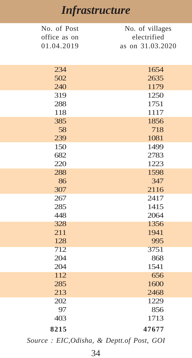### *Infrastructure*

| No. of Post  | No. of villages  |
|--------------|------------------|
| office as on | electrified      |
| 01.04.2019   | as on 31.03.2020 |
|              |                  |
|              |                  |
| 234          | 1654             |
| 502          | 2635             |
| 240          | 1179             |
| 319          | 1250             |
| 288          | 1751             |
| 118          | 1117             |
| 385          | 1856             |
| 58           | 718              |
| 239          | 1081             |
| 150          | 1499             |
| 682          | 2783             |
| 220          | 1223             |
| 288          | 1598             |
| 86           | 347              |
| 307          | 2116             |
| 267          | 2417             |
| 285          | 1415             |
| 448          | 2064             |
| 328          | 1356             |
| 211          | 1941             |
| 128          | 995              |
| 712          | 3751             |
| 204          | 868              |
| 204          | 1541             |
| 112          | 656              |
| 285          | 1600             |
| 213          | 2468             |
| 202          | 1229             |
| 97           | 856              |
| 403          | 1713             |
| 8215         | 47677            |
|              |                  |

*Source : EIC,Odisha, & Deptt.of Post, GOI*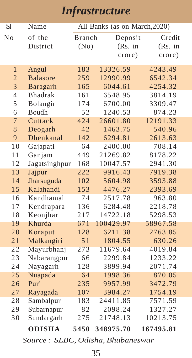### *Infrastructure*

| SI             | Name                    | All Banks (as on March, 2020) |                     |                    |  |
|----------------|-------------------------|-------------------------------|---------------------|--------------------|--|
| No             | of the                  | <b>Branch</b>                 | Deposit             | Credit             |  |
|                | District                | (No)                          | (Rs. in             | (Rs. in            |  |
|                |                         |                               | crore)              | crore)             |  |
|                |                         |                               |                     |                    |  |
| $\mathbf{1}$   | Angul                   | 183                           | 13326.59            | 4243.49            |  |
| $\overline{2}$ | <b>Balasore</b>         | 259                           | 12990.99            | 6542.34            |  |
| $\overline{3}$ | Baragarh                | 165                           | 6044.61             | 4254.32            |  |
| $\overline{4}$ | <b>Bhadrak</b>          | 161                           | 6548.95             | 3814.19            |  |
| 5              | Bolangir                | 174                           | 6700.00             | 3309.47            |  |
| 6              | <b>Boudh</b>            | 52                            | 1240.53             | 874.23             |  |
| $\overline{7}$ | Cuttack                 | 424                           | 26601.80            | 12191.33           |  |
| 8              | Deogarh                 | 42                            | 1463.75             | 540.96             |  |
| 9              | Dhenkanal               | 142                           | 6294.81             | 2613.63            |  |
| 10             | Gajapati                | 64                            | 2400.00             | 708.14             |  |
| 11             | Ganjam                  | 449                           | 21269.82            | 8178.22            |  |
| 12             | Jagatsinghpur           | 168                           | 10047.57            | 2941.30            |  |
| 13             | Jajpur                  | 222                           | 9916.43             | 7919.38            |  |
| 14             | Jharsuguda              | 102                           | 5604.98             | 3593.88            |  |
| 15             | Kalahandi<br>Kandhamal  | 153                           | 4476.27             | 2393.69            |  |
| 16             |                         | 74                            | 2517.78             | 963.80             |  |
| 17             | Kendrapara              | 136                           | 6284.48             | 2218.78            |  |
| 18             | Keonjhar<br>Khurda      | 217<br>671                    | 14722.18            | 5298.53            |  |
| 19             |                         |                               | 100429.97           | 58967.58           |  |
| 20             | Koraput                 | 128<br>51                     | 6211.38<br>1804.55  | 2763.85            |  |
| 21<br>22       | Malkangiri              | 273                           | 11679.64            | 630.26<br>4019.84  |  |
| 23             | Mayurbhanj              | 66                            |                     |                    |  |
| 24             | Nabarangpur             | 128                           | 2299.84<br>3899.94  | 1233.22<br>2071.74 |  |
| 25             | Nayagarh<br>Nuapada     | 64                            | 1998.36             | 870.05             |  |
| 26             | Puri                    | 235                           | 9957.99             | 3472.79            |  |
| 27             | Rayagada                | 107                           | 3984.27             | 1754.19            |  |
| 28             |                         | 183                           |                     | 7571.59            |  |
| 29             | Sambalpur<br>Subarnapur | 82                            | 24411.85<br>2098.24 | 1327.27            |  |
| 30             | Sundargarh              | 275                           | 21748.13            | 10213.75           |  |
|                |                         |                               |                     |                    |  |
|                | <b>ODISHA</b>           | 5450                          | 348975.70           | 167495.81          |  |

*Source : SLBC, Odisha, Bhubaneswar*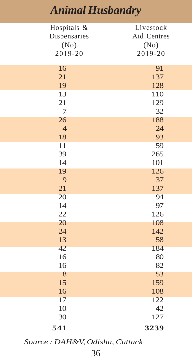| Hospitals &    | Livestock   |
|----------------|-------------|
| Dispensaries   | Aid Centres |
| (No)           | (No)        |
| 2019-20        | 2019-20     |
|                |             |
| 16             | 91          |
| 21             | 137         |
| 19             | 128         |
| 13             | 110         |
| 21             | 129         |
| $\overline{7}$ | 32          |
| 26             | 188         |
| $\overline{4}$ | 24          |
| 18             | 93          |
| 11             | 59          |
| 39             | 265         |
| 14             | 101         |
| 19             | 126         |
| 9              | 37          |
| 21             | 137         |
| 20             | 94          |
| 14             | 97          |
| 22             | 126         |
| 20             | 108         |
| 24             | 142         |
| 13             | 58          |
| 42             | 184         |
| 16             | 80          |
| 16             | 82          |
| 8              | 53          |
| 15             | 159         |
| 16             | 108         |
| 17             | 122         |
| 10             | 42          |
| 30             | 127         |
| 541            | 3239        |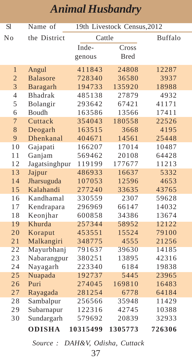| <b>S</b> l          | Name of         | 19th Livestock Census, 2012 |                 |         |
|---------------------|-----------------|-----------------------------|-----------------|---------|
| No                  | the District    | Cattle                      |                 | Buffalo |
|                     |                 | Inde-                       | Cross           |         |
|                     |                 | genous                      | <b>Bred</b>     |         |
| $\mathbf{1}$        |                 | 411843                      | 24808           | 12287   |
|                     | Angul           |                             |                 |         |
| $\overline{2}$<br>3 | <b>Balasore</b> | 728340                      | 36580<br>135920 | 3937    |
| $\overline{4}$      | Baragarh        | 194733                      |                 | 18988   |
|                     | Bhadrak         | 485138                      | 27879           | 4932    |
| 5                   | Bolangir        | 293642                      | 67421           | 41171   |
| 6                   | Boudh           | 163586                      | 13566           | 17411   |
| $\overline{7}$      | Cuttack         | 354043                      | 180558          | 22526   |
| 8                   | Deogarh         | 163515                      | 3668            | 4195    |
| 9                   | Dhenkanal       | 404671                      | 14561           | 25448   |
| 10                  | Gajapati        | 166207                      | 17014           | 10487   |
| 11                  | Ganjam          | 569462                      | 20108           | 64428   |
| 12                  | Jagatsinghpur   | 119199                      | 177677          | 11213   |
| 13                  | Jajpur          | 486933                      | 16637           | 5332    |
| 14                  | Jharsuguda      | 107053                      | 12596           | 4653    |
| 15                  | Kalahandi       | 277240                      | 33635           | 43765   |
| 16                  | Kandhamal       | 330559                      | 2307            | 59628   |
| 17                  | Kendrapara      | 296969                      | 66147           | 14032   |
| 18                  | Keonjhar        | 600858                      | 34386           | 13674   |
| 19                  | Khurda          | 257344                      | 58952           | 12122   |
| 20                  | Koraput         | 453551                      | 15524           | 79100   |
| 21                  | Malkangiri      | 348775                      | 4555            | 21256   |
| 22                  | Mayurbhanj      | 791637                      | 39630           | 14185   |
| 23                  | Nabarangpur     | 380251                      | 13895           | 42316   |
| 24                  | Nayagarh        | 223340                      | 6184            | 19838   |
| 25                  | Nuapada         | 192737                      | 5445            | 23965   |
| 26                  | Puri            | 274045                      | 169810          | 16483   |
| 27                  | Rayagada        | 281254                      | 6778            | 64184   |
| 28                  | Sambalpur       | 256566                      | 35948           | 11429   |
| 29                  | Subarnapur      | 122316                      | 42745           | 10388   |
| 30                  | Sundargarh      | 579692                      | 20839           | 32933   |
|                     | <b>ODISHA</b>   | 10315499                    | 1305773         | 726306  |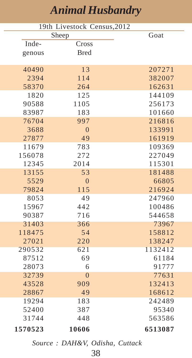| 19th Livestock Census, 2012 |                |         |  |
|-----------------------------|----------------|---------|--|
|                             | Sheep          | Goat    |  |
| Inde-                       | Cross          |         |  |
| genous                      | <b>Bred</b>    |         |  |
|                             |                |         |  |
| 40490                       | 13             | 207271  |  |
| 2394                        | 114            | 382007  |  |
| 58370                       | 264            | 162631  |  |
| 1820                        | 125            | 144109  |  |
| 90588                       | 1105           | 256173  |  |
| 83987                       | 183            | 101660  |  |
| 76704                       | 997            | 216816  |  |
| 3688                        | $\overline{0}$ | 133991  |  |
| 27877                       | 49             | 161919  |  |
| 11679                       | 783            | 109369  |  |
| 156078                      | 272            | 227049  |  |
| 12345                       | 2014           | 115301  |  |
| 13155                       | 53             | 181488  |  |
| 5529                        | $\overline{0}$ | 66805   |  |
| 79824                       | 115            | 216924  |  |
| 8053                        | 49             | 247960  |  |
| 15967                       | 442            | 100486  |  |
| 90387                       | 716            | 544658  |  |
| 31403                       | 366            | 73967   |  |
| 118475                      | 54             | 158812  |  |
| 27021                       | 220            | 138247  |  |
| 290532                      | 621            | 1132412 |  |
| 87512                       | 69             | 61184   |  |
| 28073                       | 6              | 91777   |  |
| 32739                       | $\overline{0}$ | 77631   |  |
| 43528                       | 909            | 132413  |  |
| 28867                       | 49             | 168612  |  |
| 19294                       | 183            | 242489  |  |
| 52400                       | 387            | 95340   |  |
| 31744                       | 448            | 563586  |  |
| 1570523                     | 10606          | 6513087 |  |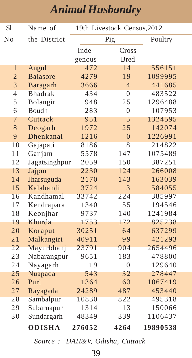| <b>S1</b>      | Name of         | 19th Livestock Census, 2012 |                |          |  |
|----------------|-----------------|-----------------------------|----------------|----------|--|
| No             | the District    | Pig                         |                | Poultry  |  |
|                |                 | Inde-                       | Cross          |          |  |
|                |                 | genous                      | <b>Bred</b>    |          |  |
| $\mathbf{1}$   | Angul           | 472                         | 14             | 556151   |  |
| $\overline{2}$ | <b>Balasore</b> | 4279                        | 19             | 1099995  |  |
| 3              | Baragarh        | 3666                        | $\overline{4}$ | 441685   |  |
| 4              | <b>Bhadrak</b>  | 434                         | $\theta$       | 483522   |  |
| 5              | Bolangir        | 948                         | 25             | 1296488  |  |
| 6              | Boudh           | 283                         | $\overline{0}$ | 107953   |  |
| 7              | Cuttack         | 951                         | 5              | 1324595  |  |
| 8              | Deogarh         | 1972                        | 25             | 142074   |  |
| 9              | Dhenkanal       | 1216                        | $\overline{0}$ | 1226991  |  |
| 10             | Gajapati        | 8186                        | 8              | 214822   |  |
| 11             | Ganjam          | 5578                        | 147            | 1075489  |  |
| 12             | Jagatsinghpur   | 2059                        | 150            | 387251   |  |
| 13             | Jajpur          | 2230                        | 124            | 266008   |  |
| 14             | Jharsuguda      | 2170                        | 143            | 163039   |  |
| 15             | Kalahandi       | 3724                        | 3              | 584055   |  |
| 16             | Kandhamal       | 33742                       | 224            | 385997   |  |
| 17             | Kendrapara      | 1340                        | 55             | 194546   |  |
| 18             | Keonjhar        | 9737                        | 140            | 1241984  |  |
| 19             | Khurda          | 1753                        | 172            | 825238   |  |
| 20             | Koraput         | 30251                       | 64             | 637299   |  |
| 21             | Malkangiri      | 40911                       | 99             | 421293   |  |
| 22             | Mayurbhanj      | 23791                       | 904            | 2654496  |  |
| 23             | Nabarangpur     | 9651                        | 183            | 478800   |  |
| 24             | Nayagarh        | 19                          | $\overline{0}$ | 129640   |  |
| 25             | Nuapada         | 543                         | 32             | 278447   |  |
| 26             | Puri            | 1364                        | 63             | 1067419  |  |
| 27             | Rayagada        | 24289                       | 487            | 453440   |  |
| 28             | Sambalpur       | 10830                       | 822            | 495318   |  |
| 29             | Subarnapur      | 1314                        | 13             | 150066   |  |
| 30             | Sundargarh      | 48349                       | 339            | 1106437  |  |
|                | <b>ODISHA</b>   | 276052                      | 4264           | 19890538 |  |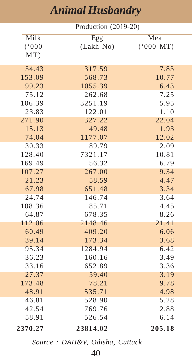| Production (2019-20) |           |          |  |
|----------------------|-----------|----------|--|
| Milk                 | Egg       | Meat     |  |
| (000)                | (Lakh No) | (000~MT) |  |
| MT)                  |           |          |  |
|                      |           |          |  |
| 54.43                | 317.59    | 7.83     |  |
| 153.09               | 568.73    | 10.77    |  |
| 99.23                | 1055.39   | 6.43     |  |
| 75.12                | 262.68    | 7.25     |  |
| 106.39               | 3251.19   | 5.95     |  |
| 23.83                | 122.01    | 1.10     |  |
| 271.90               | 327.22    | 22.04    |  |
| 15.13                | 49.48     | 1.93     |  |
| 74.04                | 1177.07   | 12.02    |  |
| 30.33                | 89.79     | 2.09     |  |
| 128.40               | 7321.17   | 10.81    |  |
| 169.49               | 56.32     | 6.79     |  |
| 107.27               | 267.00    | 9.34     |  |
| 21.23                | 58.59     | 4.47     |  |
| 67.98                | 651.48    | 3.34     |  |
| 24.74                | 146.74    | 3.64     |  |
| 108.36               | 85.71     | 4.45     |  |
| 64.87                | 678.35    | 8.26     |  |
| 112.06               | 2148.46   | 21.41    |  |
| 60.49                | 409.20    | 6.06     |  |
| 39.14                | 173.34    | 3.68     |  |
| 95.34                | 1284.94   | 6.42     |  |
| 36.23                | 160.16    | 3.49     |  |
| 33.16                | 652.89    | 3.36     |  |
| 27.37                | 59.40     | 3.19     |  |
| 173.48               | 78.21     | 9.78     |  |
| 48.91                | 535.71    | 4.98     |  |
| 46.81                | 528.90    | 5.28     |  |
| 42.54                | 769.76    | 2.88     |  |
| 58.91                | 526.54    | 6.14     |  |
| 2370.27              | 23814.02  | 205.18   |  |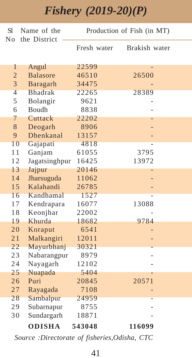### *Fishery (2019-20)(P)*

| S1             | Name of the     | Production of Fish (in MT) |               |
|----------------|-----------------|----------------------------|---------------|
| N <sub>0</sub> | the District    | Fresh water                | Brakish water |
|                |                 |                            |               |
| 1              | Angul           | 22599                      |               |
| $\overline{2}$ | <b>Balasore</b> | 46510                      | 26500         |
| 3              | Baragarh        | 34475                      |               |
| $\overline{4}$ | <b>Bhadrak</b>  | 22265                      | 28389         |
| 5              | Bolangir        | 9621                       |               |
| 6              | Boudh           | 8838                       |               |
| 7              | Cuttack         | 22202                      |               |
| 8              | Deogarh         | 8906                       |               |
| 9              | Dhenkanal       | 13157                      |               |
| 10             | Gajapati        | 4818                       |               |
| 11             | Ganjam          | 61055                      | 3795          |
| 12             | Jagatsinghpur   | 16425                      | 13972         |
| 13             | Jajpur          | 20146                      |               |
| 14             | Jharsuguda      | 11062                      |               |
| 15             | Kalahandi       | 26785                      |               |
| 16             | Kandhamal       | 1527                       |               |
| 17             | Kendrapara      | 16077                      | 13088         |
| 18             | Keonjhar        | 22002                      |               |
| 19             | Khurda          | 18682                      | 9784          |
| 20             | Koraput         | 6541                       |               |
| 21             | Malkangiri      | 12011                      |               |
| 22             | Mayurbhanj      | 30321                      |               |
| 23             | Nabarangpur     | 8979                       |               |
| 24             | Nayagarh        | 12102                      |               |
| 25             | Nuapada         | 5404                       |               |
| 26             | Puri            | 20845                      | 20571         |
| 27             | Rayagada        | 7108                       |               |
| 28             | Sambalpur       | 24959                      |               |
| 29             | Subarnapur      | 8755                       |               |
| 30             | Sundargarh      | 18871                      |               |
|                | <b>ODISHA</b>   | 543048                     | 116099        |

 *Source :Directorate of fisheries,Odisha, CTC*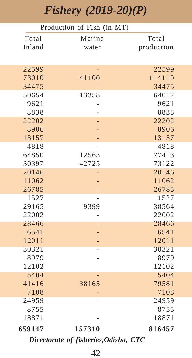### *Fishery (2019-20)(P)*

|               | Production of Fish (in MT) |               |
|---------------|----------------------------|---------------|
| Total         | Marine                     | Total         |
| Inland        | water                      | production    |
|               |                            |               |
| 22599         |                            | 22599         |
| 73010         | 41100                      | 114110        |
| 34475         |                            | 34475         |
| 50654         | 13358                      | 64012         |
| 9621          |                            | 9621          |
| 8838          |                            | 8838          |
| 22202         |                            | 22202         |
| 8906          |                            | 8906          |
| 13157         |                            | 13157         |
| 4818          |                            | 4818          |
| 64850         | 12563                      | 77413         |
| 30397         | 42725                      | 73122         |
| 20146         |                            | 20146         |
| 11062         |                            | 11062         |
| 26785         |                            | 26785         |
| 1527          |                            | 1527          |
| 29165         | 9399                       | 38564         |
| 22002         |                            | 22002         |
| 28466         |                            | 28466         |
| 6541          |                            | 6541          |
| 12011         |                            | 12011         |
| 30321         |                            | 30321         |
| 8979          |                            | 8979          |
| 12102<br>5404 |                            | 12102<br>5404 |
| 41416         | 38165                      | 79581         |
| 7108          |                            | 7108          |
| 24959         |                            | 24959         |
| 8755          |                            | 8755          |
| 18871         |                            | 18871         |
|               |                            |               |
| 659147        | 157310                     | 816457        |

*Directorate of fisheries,Odisha, CTC*